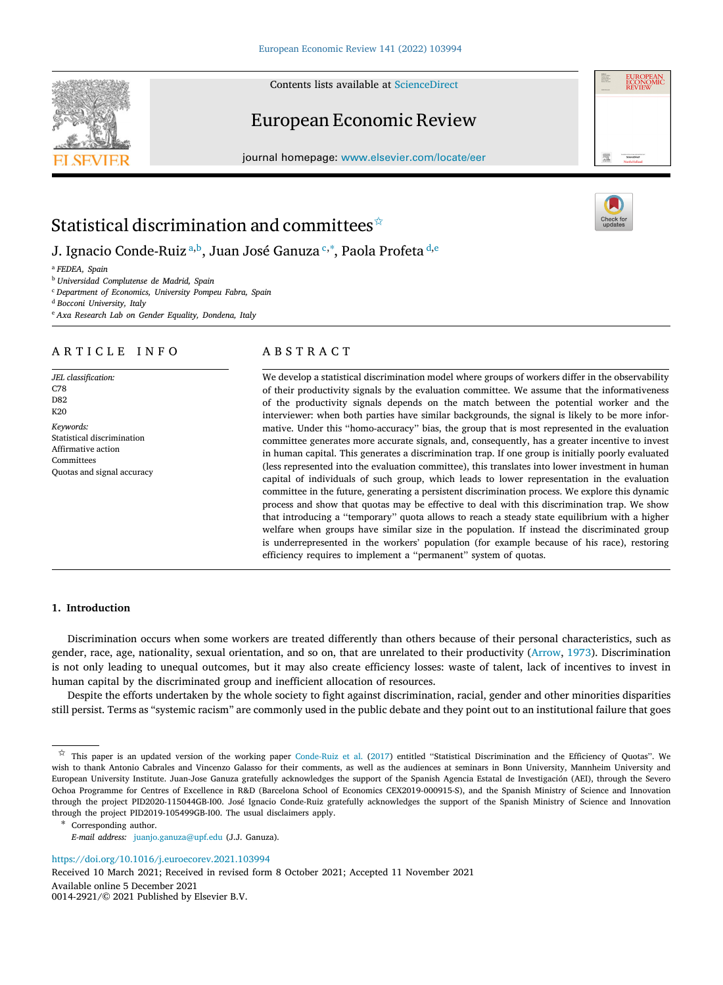Contents lists available at [ScienceDirect](http://www.elsevier.com/locate/eer)

# European Economic Review

journal homepage: [www.elsevier.com/locate/eer](http://www.elsevier.com/locate/eer)

# Statistical discrimination and committees<sup> $\hat{\star}$ </sup>

J. Ign[a](#page-0-1)cio Conde-Ruiz ª,[b](#page-0-2), Juan José Ganuza ध $^{\mathsf{c},\ast},$  $^{\mathsf{c},\ast},$  $^{\mathsf{c},\ast},$  Paola Prof[e](#page-0-6)ta  $^{\mathsf{d},\mathsf{e}}$  $^{\mathsf{d},\mathsf{e}}$  $^{\mathsf{d},\mathsf{e}}$ 

<span id="page-0-1"></span><sup>a</sup> *FEDEA, Spain*

<span id="page-0-2"></span><sup>b</sup> *Universidad Complutense de Madrid, Spain*

<span id="page-0-3"></span><sup>c</sup> *Department of Economics, University Pompeu Fabra, Spain*

<span id="page-0-5"></span><sup>d</sup> *Bocconi University, Italy*

<span id="page-0-6"></span><sup>e</sup> *Axa Research Lab on Gender Equality, Dondena, Italy*

# ARTICLE INFO

*JEL classification:* C78 D82 K20 *Keywords:* Statistical discrimination Affirmative action

Committees Quotas and signal accuracy

# A B S T R A C T

We develop a statistical discrimination model where groups of workers differ in the observability of their productivity signals by the evaluation committee. We assume that the informativeness of the productivity signals depends on the match between the potential worker and the interviewer: when both parties have similar backgrounds, the signal is likely to be more informative. Under this ''homo-accuracy'' bias, the group that is most represented in the evaluation committee generates more accurate signals, and, consequently, has a greater incentive to invest in human capital. This generates a discrimination trap. If one group is initially poorly evaluated (less represented into the evaluation committee), this translates into lower investment in human capital of individuals of such group, which leads to lower representation in the evaluation committee in the future, generating a persistent discrimination process. We explore this dynamic process and show that quotas may be effective to deal with this discrimination trap. We show that introducing a ''temporary'' quota allows to reach a steady state equilibrium with a higher welfare when groups have similar size in the population. If instead the discriminated group is underrepresented in the workers' population (for example because of his race), restoring efficiency requires to implement a ''permanent'' system of quotas.

# **1. Introduction**

Discrimination occurs when some workers are treated differently than others because of their personal characteristics, such as gender, race, age, nationality, sexual orientation, and so on, that are unrelated to their productivity ([Arrow](#page-21-0), [1973](#page-21-0)). Discrimination is not only leading to unequal outcomes, but it may also create efficiency losses: waste of talent, lack of incentives to invest in human capital by the discriminated group and inefficient allocation of resources.

Despite the efforts undertaken by the whole society to fight against discrimination, racial, gender and other minorities disparities still persist. Terms as "systemic racism" are commonly used in the public debate and they point out to an institutional failure that goes

<span id="page-0-4"></span>∗ Corresponding author.

<https://doi.org/10.1016/j.euroecorev.2021.103994>

Received 10 March 2021; Received in revised form 8 October 2021; Accepted 11 November 2021

Available online 5 December 2021

0014-2921/© 2021 Published by Elsevier B.V.







<span id="page-0-0"></span> $\hat{x}$  This paper is an updated version of the working paper [Conde-Ruiz et al.](#page-22-0) [\(2017](#page-22-0)) entitled "Statistical Discrimination and the Efficiency of Quotas". We wish to thank Antonio Cabrales and Vincenzo Galasso for their comments, as well as the audiences at seminars in Bonn University, Mannheim University and European University Institute. Juan-Jose Ganuza gratefully acknowledges the support of the Spanish Agencia Estatal de Investigación (AEI), through the Severo Ochoa Programme for Centres of Excellence in R&D (Barcelona School of Economics CEX2019-000915-S), and the Spanish Ministry of Science and Innovation through the project PID2020-115044GB-I00. José Ignacio Conde-Ruiz gratefully acknowledges the support of the Spanish Ministry of Science and Innovation through the project PID2019-105499GB-I00. The usual disclaimers apply.

*E-mail address:* [juanjo.ganuza@upf.edu](mailto:juanjo.ganuza@upf.edu) (J.J. Ganuza).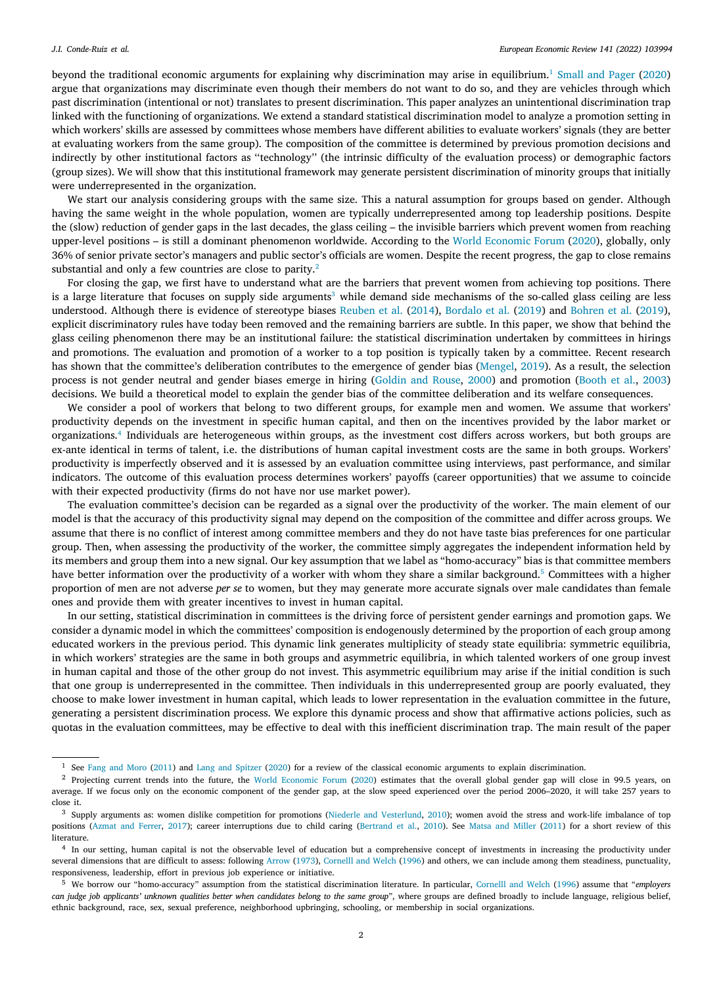<span id="page-1-0"></span>beyond the traditional economic arguments for explaining why discrimination may arise in equilibrium.<sup>[1](#page-1-0)</sup> [Small and Pager](#page-22-1) [\(2020](#page-22-1)) argue that organizations may discriminate even though their members do not want to do so, and they are vehicles through which past discrimination (intentional or not) translates to present discrimination. This paper analyzes an unintentional discrimination trap linked with the functioning of organizations. We extend a standard statistical discrimination model to analyze a promotion setting in which workers' skills are assessed by committees whose members have different abilities to evaluate workers' signals (they are better at evaluating workers from the same group). The composition of the committee is determined by previous promotion decisions and indirectly by other institutional factors as ''technology'' (the intrinsic difficulty of the evaluation process) or demographic factors (group sizes). We will show that this institutional framework may generate persistent discrimination of minority groups that initially were underrepresented in the organization.

We start our analysis considering groups with the same size. This a natural assumption for groups based on gender. Although having the same weight in the whole population, women are typically underrepresented among top leadership positions. Despite the (slow) reduction of gender gaps in the last decades, the glass ceiling – the invisible barriers which prevent women from reaching upper-level positions – is still a dominant phenomenon worldwide. According to the [World Economic Forum](#page-22-2) ([2020\)](#page-22-2), globally, only 36% of senior private sector's managers and public sector's officials are women. Despite the recent progress, the gap to close remains substantial and only a few countries are close to parity.<sup>[2](#page-1-1)</sup>

<span id="page-1-2"></span><span id="page-1-1"></span>For closing the gap, we first have to understand what are the barriers that prevent women from achieving top positions. There is a large literature that focuses on supply side arguments<sup>[3](#page-1-2)</sup> while demand side mechanisms of the so-called glass ceiling are less understood. Although there is evidence of stereotype biases [Reuben et al.](#page-22-3) [\(2014](#page-22-3)), [Bordalo et al.](#page-21-1) ([2019\)](#page-21-1) and [Bohren et al.](#page-21-2) ([2019\)](#page-21-2), explicit discriminatory rules have today been removed and the remaining barriers are subtle. In this paper, we show that behind the glass ceiling phenomenon there may be an institutional failure: the statistical discrimination undertaken by committees in hirings and promotions. The evaluation and promotion of a worker to a top position is typically taken by a committee. Recent research has shown that the committee's deliberation contributes to the emergence of gender bias ([Mengel](#page-22-4), [2019\)](#page-22-4). As a result, the selection process is not gender neutral and gender biases emerge in hiring ([Goldin and Rouse,](#page-22-5) [2000](#page-22-5)) and promotion ([Booth et al.,](#page-21-3) [2003\)](#page-21-3) decisions. We build a theoretical model to explain the gender bias of the committee deliberation and its welfare consequences.

<span id="page-1-3"></span>We consider a pool of workers that belong to two different groups, for example men and women. We assume that workers' productivity depends on the investment in specific human capital, and then on the incentives provided by the labor market or organizations.[4](#page-1-3) Individuals are heterogeneous within groups, as the investment cost differs across workers, but both groups are ex-ante identical in terms of talent, i.e. the distributions of human capital investment costs are the same in both groups. Workers' productivity is imperfectly observed and it is assessed by an evaluation committee using interviews, past performance, and similar indicators. The outcome of this evaluation process determines workers' payoffs (career opportunities) that we assume to coincide with their expected productivity (firms do not have nor use market power).

The evaluation committee's decision can be regarded as a signal over the productivity of the worker. The main element of our model is that the accuracy of this productivity signal may depend on the composition of the committee and differ across groups. We assume that there is no conflict of interest among committee members and they do not have taste bias preferences for one particular group. Then, when assessing the productivity of the worker, the committee simply aggregates the independent information held by its members and group them into a new signal. Our key assumption that we label as "homo-accuracy" bias is that committee members have better information over the productivity of a worker with whom they share a similar background.<sup>[5](#page-1-4)</sup> Committees with a higher proportion of men are not adverse *per se* to women, but they may generate more accurate signals over male candidates than female ones and provide them with greater incentives to invest in human capital.

<span id="page-1-4"></span>In our setting, statistical discrimination in committees is the driving force of persistent gender earnings and promotion gaps. We consider a dynamic model in which the committees' composition is endogenously determined by the proportion of each group among educated workers in the previous period. This dynamic link generates multiplicity of steady state equilibria: symmetric equilibria, in which workers' strategies are the same in both groups and asymmetric equilibria, in which talented workers of one group invest in human capital and those of the other group do not invest. This asymmetric equilibrium may arise if the initial condition is such that one group is underrepresented in the committee. Then individuals in this underrepresented group are poorly evaluated, they choose to make lower investment in human capital, which leads to lower representation in the evaluation committee in the future, generating a persistent discrimination process. We explore this dynamic process and show that affirmative actions policies, such as quotas in the evaluation committees, may be effective to deal with this inefficient discrimination trap. The main result of the paper

<sup>1</sup> See [Fang and Moro](#page-22-6) ([2011\)](#page-22-6) and [Lang and Spitzer](#page-22-7) [\(2020\)](#page-22-7) for a review of the classical economic arguments to explain discrimination.

<sup>&</sup>lt;sup>2</sup> Projecting current trends into the future, the [World Economic Forum](#page-22-2) ([2020](#page-22-2)) estimates that the overall global gender gap will close in 99.5 years, on average. If we focus only on the economic component of the gender gap, at the slow speed experienced over the period 2006–2020, it will take 257 years to close it.

<sup>&</sup>lt;sup>3</sup> Supply arguments as: women dislike competition for promotions ([Niederle and Vesterlund,](#page-22-8) [2010\)](#page-22-8); women avoid the stress and work-life imbalance of top positions ([Azmat and Ferrer,](#page-21-4) [2017\)](#page-21-4); career interruptions due to child caring ([Bertrand et al.,](#page-21-5) [2010](#page-21-5)). See [Matsa and Miller](#page-22-9) [\(2011\)](#page-22-9) for a short review of this literature.

<sup>4</sup> In our setting, human capital is not the observable level of education but a comprehensive concept of investments in increasing the productivity under several dimensions that are difficult to assess: following [Arrow](#page-21-0) ([1973](#page-21-0)), [Cornelll and Welch](#page-22-10) ([1996](#page-22-10)) and others, we can include among them steadiness, punctuality, responsiveness, leadership, effort in previous job experience or initiative.

<sup>5</sup> We borrow our "homo-accuracy" assumption from the statistical discrimination literature. In particular, [Cornelll and Welch](#page-22-10) ([1996\)](#page-22-10) assume that "*employers can judge job applicants' unknown qualities better when candidates belong to the same group*", where groups are defined broadly to include language, religious belief, ethnic background, race, sex, sexual preference, neighborhood upbringing, schooling, or membership in social organizations.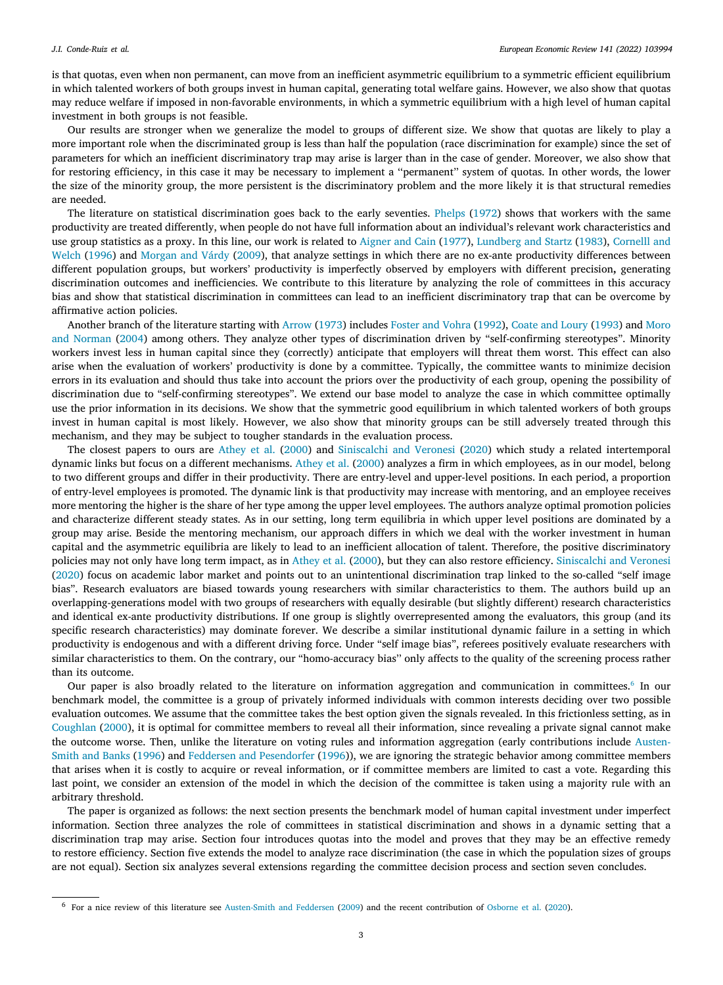is that quotas, even when non permanent, can move from an inefficient asymmetric equilibrium to a symmetric efficient equilibrium in which talented workers of both groups invest in human capital, generating total welfare gains. However, we also show that quotas may reduce welfare if imposed in non-favorable environments, in which a symmetric equilibrium with a high level of human capital investment in both groups is not feasible.

Our results are stronger when we generalize the model to groups of different size. We show that quotas are likely to play a more important role when the discriminated group is less than half the population (race discrimination for example) since the set of parameters for which an inefficient discriminatory trap may arise is larger than in the case of gender. Moreover, we also show that for restoring efficiency, in this case it may be necessary to implement a ''permanent'' system of quotas. In other words, the lower the size of the minority group, the more persistent is the discriminatory problem and the more likely it is that structural remedies are needed.

The literature on statistical discrimination goes back to the early seventies. [Phelps](#page-22-11) ([1972\)](#page-22-11) shows that workers with the same productivity are treated differently, when people do not have full information about an individual's relevant work characteristics and use group statistics as a proxy. In this line, our work is related to [Aigner and Cain](#page-21-6) ([1977\)](#page-21-6), [Lundberg and Startz](#page-22-12) ([1983\)](#page-22-12), [Cornelll and](#page-22-10) [Welch](#page-22-10) ([1996\)](#page-22-10) and [Morgan and Várdy](#page-22-13) ([2009\)](#page-22-13), that analyze settings in which there are no ex-ante productivity differences between different population groups, but workers' productivity is imperfectly observed by employers with different precision**,** generating discrimination outcomes and inefficiencies. We contribute to this literature by analyzing the role of committees in this accuracy bias and show that statistical discrimination in committees can lead to an inefficient discriminatory trap that can be overcome by affirmative action policies.

Another branch of the literature starting with [Arrow](#page-21-0) ([1973\)](#page-21-0) includes [Foster and Vohra](#page-22-14) ([1992\)](#page-22-14), [Coate and Loury](#page-21-7) ([1993\)](#page-21-7) and [Moro](#page-22-15) [and Norman](#page-22-15) [\(2004](#page-22-15)) among others. They analyze other types of discrimination driven by "self-confirming stereotypes". Minority workers invest less in human capital since they (correctly) anticipate that employers will threat them worst. This effect can also arise when the evaluation of workers' productivity is done by a committee. Typically, the committee wants to minimize decision errors in its evaluation and should thus take into account the priors over the productivity of each group, opening the possibility of discrimination due to "self-confirming stereotypes". We extend our base model to analyze the case in which committee optimally use the prior information in its decisions. We show that the symmetric good equilibrium in which talented workers of both groups invest in human capital is most likely. However, we also show that minority groups can be still adversely treated through this mechanism, and they may be subject to tougher standards in the evaluation process.

The closest papers to ours are [Athey et al.](#page-21-8) ([2000\)](#page-21-8) and [Siniscalchi and Veronesi](#page-22-16) [\(2020](#page-22-16)) which study a related intertemporal dynamic links but focus on a different mechanisms. [Athey et al.](#page-21-8) ([2000\)](#page-21-8) analyzes a firm in which employees, as in our model, belong to two different groups and differ in their productivity. There are entry-level and upper-level positions. In each period, a proportion of entry-level employees is promoted. The dynamic link is that productivity may increase with mentoring, and an employee receives more mentoring the higher is the share of her type among the upper level employees. The authors analyze optimal promotion policies and characterize different steady states. As in our setting, long term equilibria in which upper level positions are dominated by a group may arise. Beside the mentoring mechanism, our approach differs in which we deal with the worker investment in human capital and the asymmetric equilibria are likely to lead to an inefficient allocation of talent. Therefore, the positive discriminatory policies may not only have long term impact, as in [Athey et al.](#page-21-8) ([2000\)](#page-21-8), but they can also restore efficiency. [Siniscalchi and Veronesi](#page-22-16) [\(2020\)](#page-22-16) focus on academic labor market and points out to an unintentional discrimination trap linked to the so-called "self image bias". Research evaluators are biased towards young researchers with similar characteristics to them. The authors build up an overlapping-generations model with two groups of researchers with equally desirable (but slightly different) research characteristics and identical ex-ante productivity distributions. If one group is slightly overrepresented among the evaluators, this group (and its specific research characteristics) may dominate forever. We describe a similar institutional dynamic failure in a setting in which productivity is endogenous and with a different driving force. Under "self image bias", referees positively evaluate researchers with similar characteristics to them. On the contrary, our "homo-accuracy bias'' only affects to the quality of the screening process rather than its outcome.

<span id="page-2-0"></span>Our paper is also broadly related to the literature on information aggregation and communication in committees.<sup>[6](#page-2-0)</sup> In our benchmark model, the committee is a group of privately informed individuals with common interests deciding over two possible evaluation outcomes. We assume that the committee takes the best option given the signals revealed. In this frictionless setting, as in [Coughlan](#page-22-17) [\(2000](#page-22-17)), it is optimal for committee members to reveal all their information, since revealing a private signal cannot make the outcome worse. Then, unlike the literature on voting rules and information aggregation (early contributions include [Austen-](#page-21-9)[Smith and Banks](#page-21-9) [\(1996](#page-21-9)) and [Feddersen and Pesendorfer](#page-22-18) [\(1996](#page-22-18))), we are ignoring the strategic behavior among committee members that arises when it is costly to acquire or reveal information, or if committee members are limited to cast a vote. Regarding this last point, we consider an extension of the model in which the decision of the committee is taken using a majority rule with an arbitrary threshold.

The paper is organized as follows: the next section presents the benchmark model of human capital investment under imperfect information. Section three analyzes the role of committees in statistical discrimination and shows in a dynamic setting that a discrimination trap may arise. Section four introduces quotas into the model and proves that they may be an effective remedy to restore efficiency. Section five extends the model to analyze race discrimination (the case in which the population sizes of groups are not equal). Section six analyzes several extensions regarding the committee decision process and section seven concludes.

<sup>6</sup> For a nice review of this literature see [Austen-Smith and Feddersen](#page-21-10) ([2009](#page-21-10)) and the recent contribution of [Osborne et al.](#page-22-19) ([2020](#page-22-19)).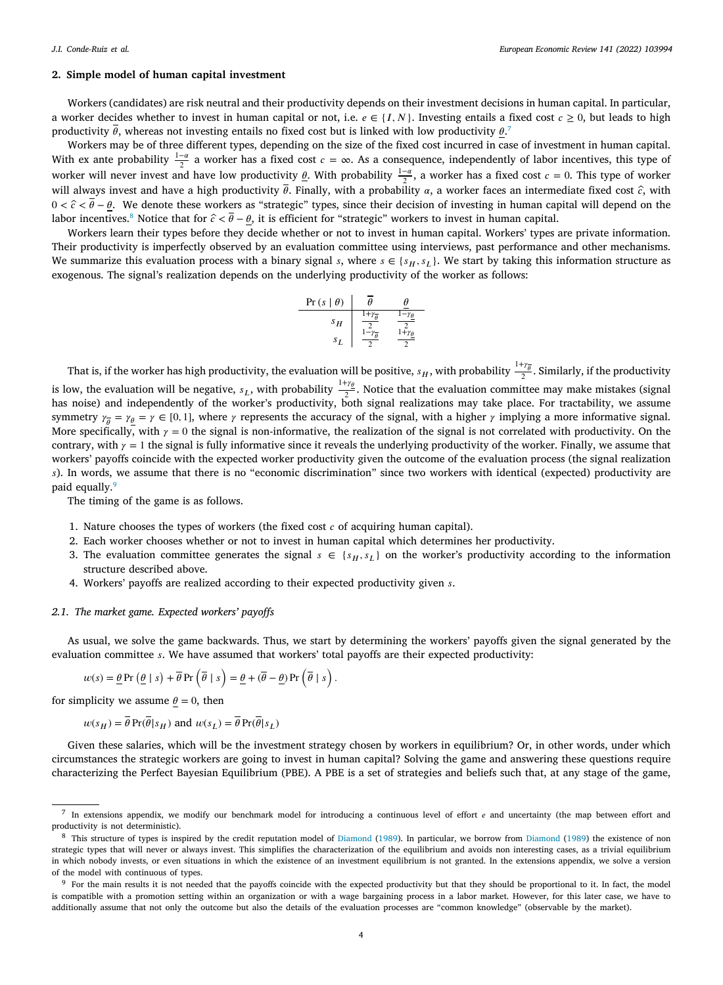# **2. Simple model of human capital investment**

Workers (candidates) are risk neutral and their productivity depends on their investment decisions in human capital. In particular, a worker decides whether to invest in human capital or not, i.e.  $e \in \{I, N\}$ . Investing entails a fixed cost  $c \ge 0$ , but leads to high productivity  $\theta$ , whereas not investing entails no fixed cost but is linked with low productivity  $\theta$ .

Workers may be of three different types, depending on the size of the fixed cost incurred in case of investment in human capital. With ex ante probability  $\frac{1-\alpha}{2}$  a worker has a fixed cost  $c = \infty$ . As a consequence, independently of labor incentives, this type of worker will never invest and have low productivity  $\underline{\theta}$ . With probability  $\frac{1-\alpha}{2}$ , a worker has a fixed cost  $c = 0$ . This type of worker will always invest and have a high productivity  $\bar{\theta}$ . Finally, with a probability  $\alpha$ , a worker faces an intermediate fixed cost  $\hat{c}$ , with  $0 < \hat{c} < \overline{\theta} - \theta$ . We denote these workers as "strategic" types, since their decision of investing in human capital will depend on the labor incentives.<sup>[8](#page-3-1)</sup> Notice that for  $\hat{c} < \overline{\theta} - \theta$ , it is efficient for "strategic" workers to invest in human capital.

<span id="page-3-1"></span>Workers learn their types before they decide whether or not to invest in human capital. Workers' types are private information. Their productivity is imperfectly observed by an evaluation committee using interviews, past performance and other mechanisms. We summarize this evaluation process with a binary signal s, where  $s \in \{s_H, s_L\}$ . We start by taking this information structure as exogenous. The signal's realization depends on the underlying productivity of the worker as follows:

<span id="page-3-0"></span>
$$
\begin{array}{c|c}\n\Pr(s | \theta) & \overline{\theta} & \underline{\theta} \\
\hline\ns_H & \frac{1 + \gamma_{\overline{\theta}}}{2} & \frac{1 - \gamma_{\theta}}{2} \\
s_L & \frac{1 - \gamma_{\overline{\theta}}}{2} & \frac{1 + \gamma_{\theta}}{2}\n\end{array}
$$

That is, if the worker has high productivity, the evaluation will be positive,  $s_H$ , with probability  $\frac{1+\gamma_{\overline{\theta}}}{2}$ . Similarly, if the productivity is low, the evaluation will be negative,  $s_L$ , with probability  $\frac{1+\gamma_\theta}{2}$ . Notice that the evaluation committee may make mistakes (signal has noise) and independently of the worker's productivity, both signal realizations may take place. For tractability, we assume that in the state of the worker's productivity, both signal realizations may take place. For symmetry  $\gamma_{\bar{\theta}} = \gamma_{\underline{\theta}} = \gamma \in [0, 1]$ , where  $\gamma$  represents the accuracy of the signal, with a higher  $\gamma$  implying a more informative signal. More specifically, with  $\gamma = 0$  the signal is non-informative, the realization of the signal is not correlated with productivity. On the contrary, with  $\gamma = 1$  the signal is fully informative since it reveals the underlying productivity of the worker. Finally, we assume that workers' payoffs coincide with the expected worker productivity given the outcome of the evaluation process (the signal realization ). In words, we assume that there is no "economic discrimination" since two workers with identical (expected) productivity are paid equally.<sup>[9](#page-3-2)</sup>

<span id="page-3-2"></span>The timing of the game is as follows.

- 1. Nature chooses the types of workers (the fixed cost  $c$  of acquiring human capital).
- 2. Each worker chooses whether or not to invest in human capital which determines her productivity.
- 3. The evaluation committee generates the signal  $s \in \{s_H, s_L\}$  on the worker's productivity according to the information structure described above.
- 4. Workers' payoffs are realized according to their expected productivity given s.

#### *2.1. The market game. Expected workers' payoffs*

As usual, we solve the game backwards. Thus, we start by determining the workers' payoffs given the signal generated by the evaluation committee s. We have assumed that workers' total payoffs are their expected productivity:

$$
w(s) = \underline{\theta} \Pr\left(\underline{\theta} \mid s\right) + \overline{\theta} \Pr\left(\overline{\theta} \mid s\right) = \underline{\theta} + (\overline{\theta} - \underline{\theta}) \Pr\left(\overline{\theta} \mid s\right).
$$

for simplicity we assume  $\theta = 0$ , then

$$
w(s_H) = \overline{\theta} \operatorname{Pr}(\overline{\theta}|s_H)
$$
 and  $w(s_L) = \overline{\theta} \operatorname{Pr}(\overline{\theta}|s_L)$ 

Given these salaries, which will be the investment strategy chosen by workers in equilibrium? Or, in other words, under which circumstances the strategic workers are going to invest in human capital? Solving the game and answering these questions require characterizing the Perfect Bayesian Equilibrium (PBE). A PBE is a set of strategies and beliefs such that, at any stage of the game,

<sup>7</sup> In extensions appendix, we modify our benchmark model for introducing a continuous level of effort e and uncertainty (the map between effort and productivity is not deterministic).

<sup>&</sup>lt;sup>8</sup> This structure of types is inspired by the credit reputation model of [Diamond](#page-22-20) ([1989](#page-22-20)). In particular, we borrow from Diamond (1989) the existence of non strategic types that will never or always invest. This simplifies the characterization of the equilibrium and avoids non interesting cases, as a trivial equilibrium in which nobody invests, or even situations in which the existence of an investment equilibrium is not granted. In the extensions appendix, we solve a version of the model with continuous of types.

<sup>&</sup>lt;sup>9</sup> For the main results it is not needed that the payoffs coincide with the expected productivity but that they should be proportional to it. In fact, the model is compatible with a promotion setting within an organization or with a wage bargaining process in a labor market. However, for this later case, we have to additionally assume that not only the outcome but also the details of the evaluation processes are "common knowledge" (observable by the market).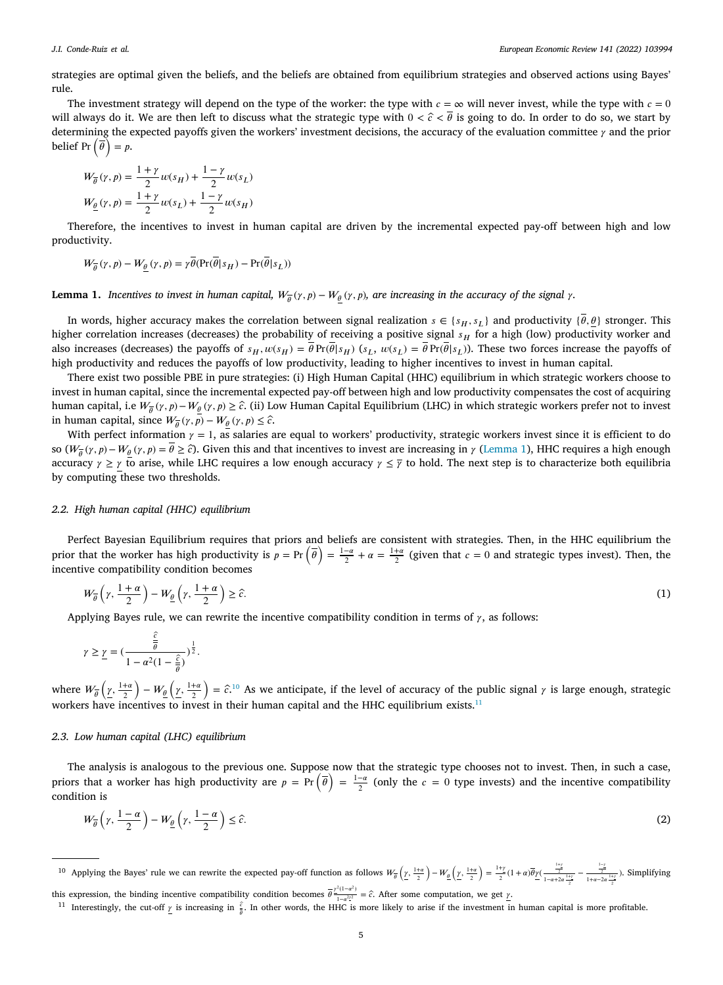strategies are optimal given the beliefs, and the beliefs are obtained from equilibrium strategies and observed actions using Bayes' rule.

The investment strategy will depend on the type of the worker: the type with  $c = \infty$  will never invest, while the type with  $c = 0$ will always do it. We are then left to discuss what the strategic type with  $0 < \hat{c} < \theta$  is going to do. In order to do so, we start by determining the expected payoffs given the workers' investment decisions, the accuracy of the evaluation committee  $\gamma$  and the prior belief Pr  $(\overline{\theta}) = p$ .

$$
W_{\overline{\theta}}(\gamma, p) = \frac{1+\gamma}{2} w(s_H) + \frac{1-\gamma}{2} w(s_L)
$$
  

$$
W_{\underline{\theta}}(\gamma, p) = \frac{1+\gamma}{2} w(s_L) + \frac{1-\gamma}{2} w(s_H)
$$

Therefore, the incentives to invest in human capital are driven by the incremental expected pay-off between high and low productivity.

$$
W_{\overline{\theta}}(\gamma, p) - W_{\underline{\theta}}(\gamma, p) = \gamma \overline{\theta}(\Pr(\overline{\theta} | s_H) - \Pr(\overline{\theta} | s_L))
$$

<span id="page-4-0"></span>**Lemma 1.** Incentives to invest in human capital,  $W_{\overline{\theta}}(\gamma,p)-W_{\underline{\theta}}(\gamma,p)$ , are increasing in the accuracy of the signal  $\gamma$ .

In words, higher accuracy makes the correlation between signal realization  $s \in \{s_H, s_L\}$  and productivity  $\{\bar{\theta}, \theta\}$  stronger. This higher correlation increases (decreases) the probability of receiving a positive signal  $s_H$  for a high (low) productivity worker and also increases (decreases) the payoffs of  $s_H$ ,  $w(s_H) = \overline{\theta} \Pr(\overline{\theta}|s_H)$  ( $s_L$ ,  $w(s_L) = \overline{\theta} \Pr(\overline{\theta}|s_L)$ ). These two forces increase the payoffs of high productivity and reduces the payoffs of low productivity, leading to higher incentives to invest in human capital.

There exist two possible PBE in pure strategies: (i) High Human Capital (HHC) equilibrium in which strategic workers choose to invest in human capital, since the incremental expected pay-off between high and low productivity compensates the cost of acquiring human capital, i.e  $W_{\overline{\theta}}(\gamma, p) - W_{\underline{\theta}}(\gamma, p) \geq \hat{c}$ . (ii) Low Human Capital Equilibrium (LHC) in which strategic workers prefer not to invest in human capital, since  $W_{\overline{\theta}}(\gamma, \overline{p}) - W_{\underline{\theta}}(\gamma, p) \leq \hat{c}$ .

With perfect information  $\gamma = 1$ , as salaries are equal to workers' productivity, strategic workers invest since it is efficient to do so ( $W_{\overline{\theta}}(\gamma, p) - W_{\underline{\theta}}(\gamma, p) = \overline{\theta} \ge \hat{c}$ ). Given this and that incentives to invest are increasing in  $\gamma$  [\(Lemma](#page-4-0) [1\)](#page-4-0), HHC requires a high enough accuracy  $\gamma \ge \gamma$  to arise, while LHC requires a low enough accuracy  $\gamma \le \overline{\gamma}$  to hold. The next step is to characterize both equilibria by computing these two thresholds.

# *2.2. High human capital (HHC) equilibrium*

Perfect Bayesian Equilibrium requires that priors and beliefs are consistent with strategies. Then, in the HHC equilibrium the prior that the worker has high productivity is  $p = Pr(\bar{\theta}) = \frac{1-\alpha}{2} + \alpha = \frac{1+\alpha}{2}$  (given that  $c = 0$  and strategic types invest). Then, the incentive compatibility condition becomes

$$
W_{\overline{\theta}}\left(\gamma,\frac{1+\alpha}{2}\right)-W_{\underline{\theta}}\left(\gamma,\frac{1+\alpha}{2}\right)\geq\hat{c}.\tag{1}
$$

Applying Bayes rule, we can rewrite the incentive compatibility condition in terms of  $\gamma$ , as follows:

<span id="page-4-1"></span>
$$
\gamma \geq \underline{\gamma} = \left(\frac{\frac{\hat{c}}{\theta}}{1 - \alpha^2 (1 - \frac{\hat{c}}{\theta})}\right)^{\frac{1}{2}}.
$$

where  $W_{\overline{\theta}}\left(\underline{\gamma}, \frac{1+a}{2}\right)$  $-\frac{W_{\theta}\left(\underline{\gamma},\frac{1+a}{2}\right)}{2}$  $= \hat{c}$ <sup>[10](#page-4-1)</sup> As we anticipate, if the level of accuracy of the public signal  $\gamma$  is large enough, strategic workers have incentives to invest in their human capital and the HHC equilibrium exists.<sup>[11](#page-4-2)</sup>

# *2.3. Low human capital (LHC) equilibrium*

The analysis is analogous to the previous one. Suppose now that the strategic type chooses not to invest. Then, in such a case, The analysis is analogous to the previous one. Suppose now that the strategic type chooses not to fivest. Then, in such a case, priors that a worker has high productivity are  $p = Pr(\bar{\theta}) = \frac{1-\alpha}{2}$  (only the  $c = 0$  type inv condition is

<span id="page-4-2"></span>
$$
W_{\theta}\left(\gamma,\frac{1-\alpha}{2}\right)-W_{\underline{\theta}}\left(\gamma,\frac{1-\alpha}{2}\right)\leq\widehat{c}.\tag{2}
$$

<sup>10</sup> Applying the Bayes' rule we can rewrite the expected pay-off function as follows  $W_{\overline{\theta}}\left(\underline{y},\frac{1+a}{2}\right)$  $-\frac{W_{\underline{\theta}}}{2} \left(\underline{\gamma}, \frac{1+a}{2}\right)$  $=\frac{1+\gamma}{2}(1+\alpha)\overline{\theta}\underline{y}(\frac{\frac{1+\gamma}{2}}{1-\alpha+2\alpha\frac{1+\gamma}{2}}-\frac{\frac{1-\gamma}{2}}{1+\alpha-2\alpha\frac{1+\gamma}{2}}).$  Simplifying

this expression, the binding incentive compatibility condition becomes  $\overline{\theta} \frac{z^2(1-a^2)}{1-a^2z^2} = \hat{c}$ . After some computation, we get  $\gamma$ .

<sup>&</sup>lt;sup>11</sup> Interestingly, the cut-off  $\gamma$  is increasing in  $\frac{\hat{c}}{\theta}$ . In other words, the HHC is more likely to arise if the investment in human capital is more profitable.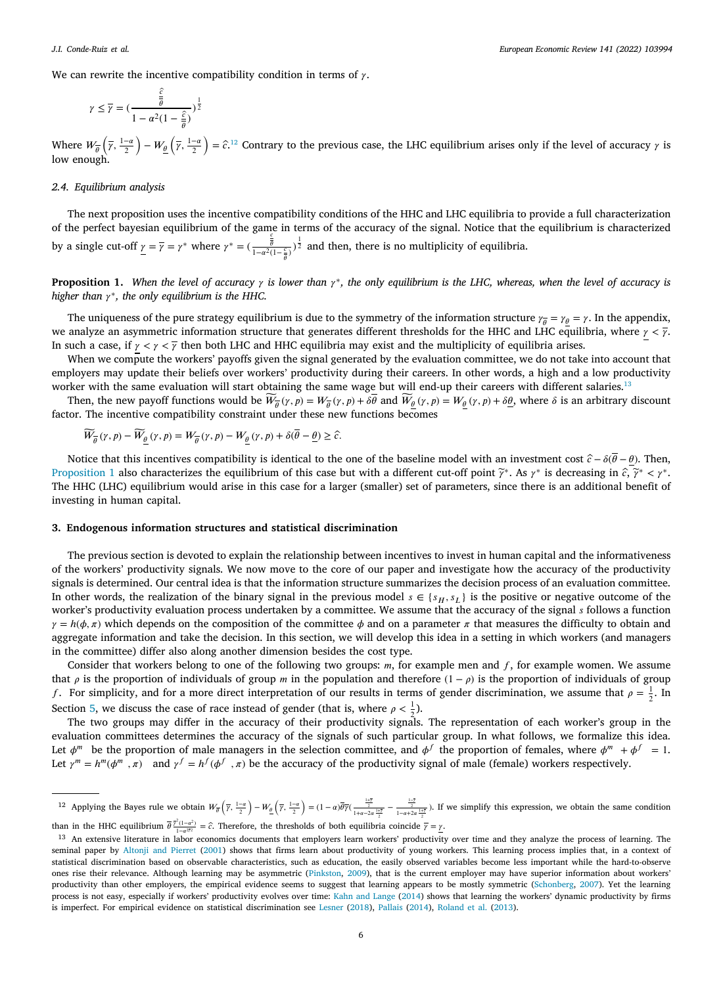We can rewrite the incentive compatibility condition in terms of  $\gamma$ .

<span id="page-5-0"></span>
$$
\gamma \leq \overline{\gamma} = \left(\frac{\frac{\hat{c}}{\bar{\theta}}}{1 - \alpha^2 (1 - \frac{\hat{c}}{\bar{\theta}})}\right)^{\frac{1}{2}}
$$

Where  $W_{\overline{\theta}}\left(\overline{\gamma}, \frac{1-a}{2}\right)$  $\Big) - W_{\underline{\theta}} \left( \overline{\gamma}, \frac{1-\alpha}{2} \right)$  $\hat{\epsilon}$  =  $\hat{\epsilon}$ <sup>[12](#page-5-0)</sup> Contrary to the previous case, the LHC equilibrium arises only if the level of accuracy  $\gamma$  is low enough.

#### *2.4. Equilibrium analysis*

The next proposition uses the incentive compatibility conditions of the HHC and LHC equilibria to provide a full characterization of the perfect bayesian equilibrium of the game in terms of the accuracy of the signal. Notice that the equilibrium is characterized by a single cut-off  $\underline{\gamma} = \overline{\gamma} = \gamma^*$  where  $\gamma^* = (\frac{\frac{c}{\overline{\theta}}}{1 - \alpha^2(1 - \frac{c}{\overline{\theta}})})^{\frac{1}{2}}$  and then, there is no multiplicity of equilibria.

<span id="page-5-2"></span>**Proposition 1.** When the level of accuracy  $\gamma$  is lower than  $\gamma^*$ , the only equilibrium is the LHC, whereas, when the level of accuracy is *higher than*  $γ^*$ , the only equilibrium is the HHC.

The uniqueness of the pure strategy equilibrium is due to the symmetry of the information structure  $\gamma_{\overline{\theta}}=\gamma_{\underline{\theta}}=\gamma$ . In the appendix, we analyze an asymmetric information structure that generates different thresholds for the HHC and LHC equilibria, where  $\gamma < \bar{\gamma}$ . In such a case, if  $\gamma < \gamma < \overline{\gamma}$  then both LHC and HHC equilibria may exist and the multiplicity of equilibria arises.

When we compute the workers' payoffs given the signal generated by the evaluation committee, we do not take into account that employers may update their beliefs over workers' productivity during their careers. In other words, a high and a low productivity worker with the same evaluation will start obtaining the same wage but will end-up their careers with different salaries.<sup>[13](#page-5-1)</sup>

Then, the new payoff functions would be  $\widetilde{W}_{\overline{\theta}}(\gamma, p) = W_{\overline{\theta}}(\gamma, p) + \delta \overline{\theta}$  and  $\widetilde{W}_{\underline{\theta}}(\gamma, p) = W_{\underline{\theta}}(\gamma, p) + \delta \underline{\theta}$ , where  $\delta$  is an arbitrary discount factor. The incentive compatibility constraint under these new functions becomes

<span id="page-5-1"></span>
$$
\widetilde{W}_{\overline{\theta}}(\gamma,p)-\widetilde{W}_{\underline{\theta}}\left(\gamma,p\right)=W_{\overline{\theta}}(\gamma,p)-W_{\underline{\theta}}\left(\gamma,p\right)+\delta(\overline{\theta}-\underline{\theta})\geq\widehat{c}.
$$

Notice that this incentives compatibility is identical to the one of the baseline model with an investment cost  $\hat{c} - \delta(\bar{\theta} - \theta)$ . Then, [Proposition](#page-5-2) [1](#page-5-2) also characterizes the equilibrium of this case but with a different cut-off point  $\tilde{\gamma}^*$ . As  $\gamma^*$  is decreasing in  $\hat{c}$ ,  $\tilde{\gamma}^* < \gamma^*$ . The HHC (LHC) equilibrium would arise in this case for a larger (smaller) set of parameters, since there is an additional benefit of investing in human capital.

# **3. Endogenous information structures and statistical discrimination**

The previous section is devoted to explain the relationship between incentives to invest in human capital and the informativeness of the workers' productivity signals. We now move to the core of our paper and investigate how the accuracy of the productivity signals is determined. Our central idea is that the information structure summarizes the decision process of an evaluation committee. In other words, the realization of the binary signal in the previous model  $s \in \{s_H, s_L\}$  is the positive or negative outcome of the worker's productivity evaluation process undertaken by a committee. We assume that the accuracy of the signal  $s$  follows a function  $\gamma = h(\phi, \pi)$  which depends on the composition of the committee  $\phi$  and on a parameter  $\pi$  that measures the difficulty to obtain and aggregate information and take the decision. In this section, we will develop this idea in a setting in which workers (and managers in the committee) differ also along another dimension besides the cost type.

Consider that workers belong to one of the following two groups:  $m$ , for example men and  $f$ , for example women. We assume that  $\rho$  is the proportion of individuals of group *m* in the population and therefore  $(1 - \rho)$  is the proportion of individuals of group f. For simplicity, and for a more direct interpretation of our results in terms of gender discrimination, we assume that  $\rho = \frac{1}{2}$ . In Section [5,](#page-9-0) we discuss the case of race instead of gender (that is, where  $\rho < \frac{1}{2}$ ).

The two groups may differ in the accuracy of their productivity signals. The representation of each worker's group in the evaluation committees determines the accuracy of the signals of such particular group. In what follows, we formalize this idea. Let  $\phi^m$  be the proportion of male managers in the selection committee, and  $\phi^f$  the proportion of females, where  $\phi^m + \phi^f = 1$ . Let  $\gamma^m = h^m(\phi^m, \pi)$  and  $\gamma^f = h^f(\phi^f, \pi)$  be the accuracy of the productivity signal of male (female) workers respectively.

<sup>&</sup>lt;sup>12</sup> Applying the Bayes rule we obtain  $W_{\overline{\theta}}\left(\overline{\gamma}, \frac{1-a}{2}\right)$  $-\frac{W_{\underline{\theta}}}{2} \left(\overline{\gamma}, \frac{1-a}{2}\right)$  $= (1 - \alpha)\overline{\theta}\overline{\gamma}(\frac{\frac{1+\overline{\gamma}}{2}}{1+\alpha-2\alpha\frac{1+\overline{\gamma}}{2}})$ . If we simplify this expression, we obtain the same condition

than in the HHC equilibrium  $\bar{\theta}^{\frac{\gamma^2(1-\alpha^2)}{1-\alpha^{2\gamma^2}}} = \hat{c}$ . Therefore, the thresholds of both equilibria coincide  $\bar{\gamma} = \underline{\gamma}$ .

<sup>&</sup>lt;sup>13</sup> An extensive literature in labor economics documents that employers learn workers' productivity over time and they analyze the process of learning. The seminal paper by [Altonji and Pierret](#page-21-11) [\(2001\)](#page-21-11) shows that firms learn about productivity of young workers. This learning process implies that, in a context of statistical discrimination based on observable characteristics, such as education, the easily observed variables become less important while the hard-to-observe ones rise their relevance. Although learning may be asymmetric ([Pinkston,](#page-22-21) [2009\)](#page-22-21), that is the current employer may have superior information about workers' productivity than other employers, the empirical evidence seems to suggest that learning appears to be mostly symmetric ([Schonberg,](#page-22-22) [2007\)](#page-22-22). Yet the learning process is not easy, especially if workers' productivity evolves over time: [Kahn and Lange](#page-22-23) ([2014\)](#page-22-23) shows that learning the workers' dynamic productivity by firms is imperfect. For empirical evidence on statistical discrimination see [Lesner](#page-22-24) ([2018\)](#page-22-24), [Pallais](#page-22-25) [\(2014\)](#page-22-25), [Roland et al.](#page-22-26) ([2013\)](#page-22-26).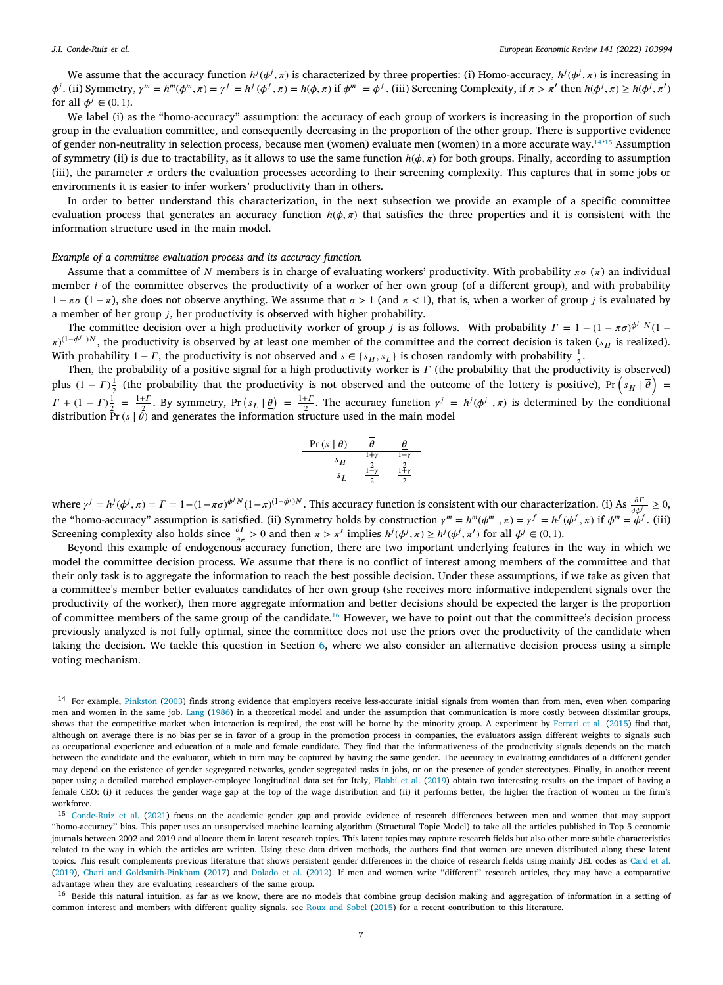#### *J.I. Conde-Ruiz et al.*

We assume that the accuracy function  $h^j(\phi^j, \pi)$  is characterized by three properties: (i) Homo-accuracy,  $h^j(\phi^j, \pi)$  is increasing in  $\phi^j$ . (ii) Symmetry,  $\gamma^m = h^m(\phi^m, \pi) = \gamma^f = h^f(\phi^f, \pi) = h(\phi, \pi)$  if  $\phi^m = \phi^f$ . (iii) Screening Complexity, if  $\pi > \pi'$  then  $h(\phi^j, \pi) \ge h(\phi^j, \pi')$ for all  $\phi^j \in (0, 1)$ .

We label (i) as the "homo-accuracy" assumption: the accuracy of each group of workers is increasing in the proportion of such group in the evaluation committee, and consequently decreasing in the proportion of the other group. There is supportive evidence of gender non-neutrality in selection process, because men (women) evaluate men (women) in a more accurate way.<sup>[14](#page-6-0)</sup><sup>[15](#page-6-1)</sup> Assumption of symmetry (ii) is due to tractability, as it allows to use the same function  $h(\phi, \pi)$  for both groups. Finally, according to assumption (iii), the parameter  $\pi$  orders the evaluation processes according to their screening complexity. This captures that in some jobs or environments it is easier to infer workers' productivity than in others.

In order to better understand this characterization, in the next subsection we provide an example of a specific committee evaluation process that generates an accuracy function  $h(\phi, \pi)$  that satisfies the three properties and it is consistent with the information structure used in the main model.

### *Example of a committee evaluation process and its accuracy function.*

Assume that a committee of N members is in charge of evaluating workers' productivity. With probability  $\pi\sigma(\pi)$  an individual member  $i$  of the committee observes the productivity of a worker of her own group (of a different group), and with probability 1 − (1 − ), she does not observe anything. We assume that  *>* 1 (and  *<* 1), that is, when a worker of group is evaluated by a member of her group  $j$ , her productivity is observed with higher probability.

The committee decision over a high productivity worker of group *j* is as follows. With probability  $\Gamma = 1 - (1 - \pi \sigma)^{\phi^j} N (1 \pi$ )<sup>(1- $\phi$ <sup>j</sup>)N, the productivity is observed by at least one member of the committee and the correct decision is taken (s<sub>H</sub> is realized).</sup> With probability 1 –  $\Gamma$ , the productivity is not observed and  $s \in \{s_H, s_L\}$  is chosen randomly with probability  $\frac{1}{2}$ .

Then, the probability of a positive signal for a high productivity worker is  $\Gamma$  (the probability that the productivity is observed) Fire probability of a positive signal for a high productivity worker is T (the probability that the productivity is observed) plus  $(1 - \Gamma)^{\frac{1}{2}}$  (the probability that the productivity is not observed and the outcome of  $T + (1 - T)\frac{1}{2} = \frac{1+t}{2}$ . By symmetry, Pr  $(s_L | g) = \frac{1+t}{2}$ . The accuracy function  $\gamma^j = h^j(\phi^j, \pi)$  is determined by the conditional distribution Pr( $s | \theta$ ) and generates the information structure used in the main model

<span id="page-6-2"></span><span id="page-6-1"></span><span id="page-6-0"></span>
$$
\begin{array}{c|c}\n\Pr\left(s \mid \theta\right) & \bar{\theta} & \underline{\theta} \\
\hline\ns_H & \frac{1+y}{2} & \frac{1-y}{2} \\
s_L & \frac{1-y}{2} & \frac{1+y}{2}\n\end{array}
$$

where  $\gamma^j = h^j(\phi^j, \pi) = \Gamma = 1 - (1 - \pi \sigma)^{\phi^j N} (1 - \pi)^{(1 - \phi^j)N}$ . This accuracy function is consistent with our characterization. (i) As  $\frac{\partial \Gamma}{\partial \phi^j} \geq 0$ , the "homo-accuracy" assumption is satisfied. (ii) Symmetry holds by construction  $\gamma^m = h^m(\phi^m, \pi) = \gamma^f = h^f(\phi^f, \pi)$  if  $\phi^m = \dot{\phi}^f$ . (iii) Screening complexity also holds since  $\frac{\partial \Gamma}{\partial x} > 0$  and then  $\pi > \pi'$  implies  $h^j(\phi^j, \pi) \ge h^j(\phi^j, \pi')$  for all  $\phi^j \in (0, 1)$ .

Beyond this example of endogenous accuracy function, there are two important underlying features in the way in which we model the committee decision process. We assume that there is no conflict of interest among members of the committee and that their only task is to aggregate the information to reach the best possible decision. Under these assumptions, if we take as given that a committee's member better evaluates candidates of her own group (she receives more informative independent signals over the productivity of the worker), then more aggregate information and better decisions should be expected the larger is the proportion of committee members of the same group of the candidate.[16](#page-6-2) However, we have to point out that the committee's decision process previously analyzed is not fully optimal, since the committee does not use the priors over the productivity of the candidate when taking the decision. We tackle this question in Section [6,](#page-10-0) where we also consider an alternative decision process using a simple voting mechanism.

<sup>&</sup>lt;sup>14</sup> For example, [Pinkston](#page-22-27) [\(2003\)](#page-22-27) finds strong evidence that employers receive less-accurate initial signals from women than from men, even when comparing men and women in the same job. [Lang](#page-22-28) ([1986](#page-22-28)) in a theoretical model and under the assumption that communication is more costly between dissimilar groups, shows that the competitive market when interaction is required, the cost will be borne by the minority group. A experiment by [Ferrari et al.](#page-22-29) ([2015\)](#page-22-29) find that, although on average there is no bias per se in favor of a group in the promotion process in companies, the evaluators assign different weights to signals such as occupational experience and education of a male and female candidate. They find that the informativeness of the productivity signals depends on the match between the candidate and the evaluator, which in turn may be captured by having the same gender. The accuracy in evaluating candidates of a different gender may depend on the existence of gender segregated networks, gender segregated tasks in jobs, or on the presence of gender stereotypes. Finally, in another recent paper using a detailed matched employer-employee longitudinal data set for Italy, [Flabbi et al.](#page-22-30) ([2019\)](#page-22-30) obtain two interesting results on the impact of having a female CEO: (i) it reduces the gender wage gap at the top of the wage distribution and (ii) it performs better, the higher the fraction of women in the firm's workforce.

<sup>15</sup> [Conde-Ruiz et al.](#page-21-12) ([2021](#page-21-12)) focus on the academic gender gap and provide evidence of research differences between men and women that may support ''homo-accuracy'' bias. This paper uses an unsupervised machine learning algorithm (Structural Topic Model) to take all the articles published in Top 5 economic journals between 2002 and 2019 and allocate them in latent research topics. This latent topics may capture research fields but also other more subtle characteristics related to the way in which the articles are written. Using these data driven methods, the authors find that women are uneven distributed along these latent topics. This result complements previous literature that shows persistent gender differences in the choice of research fields using mainly JEL codes as [Card et al.](#page-21-13) [\(2019\)](#page-21-13), [Chari and Goldsmith-Pinkham](#page-21-14) [\(2017\)](#page-21-14) and [Dolado et al.](#page-22-31) [\(2012\)](#page-22-31). If men and women write "different" research articles, they may have a comparative advantage when they are evaluating researchers of the same group.

<sup>&</sup>lt;sup>16</sup> Beside this natural intuition, as far as we know, there are no models that combine group decision making and aggregation of information in a setting of common interest and members with different quality signals, see [Roux and Sobel](#page-22-32) ([2015\)](#page-22-32) for a recent contribution to this literature.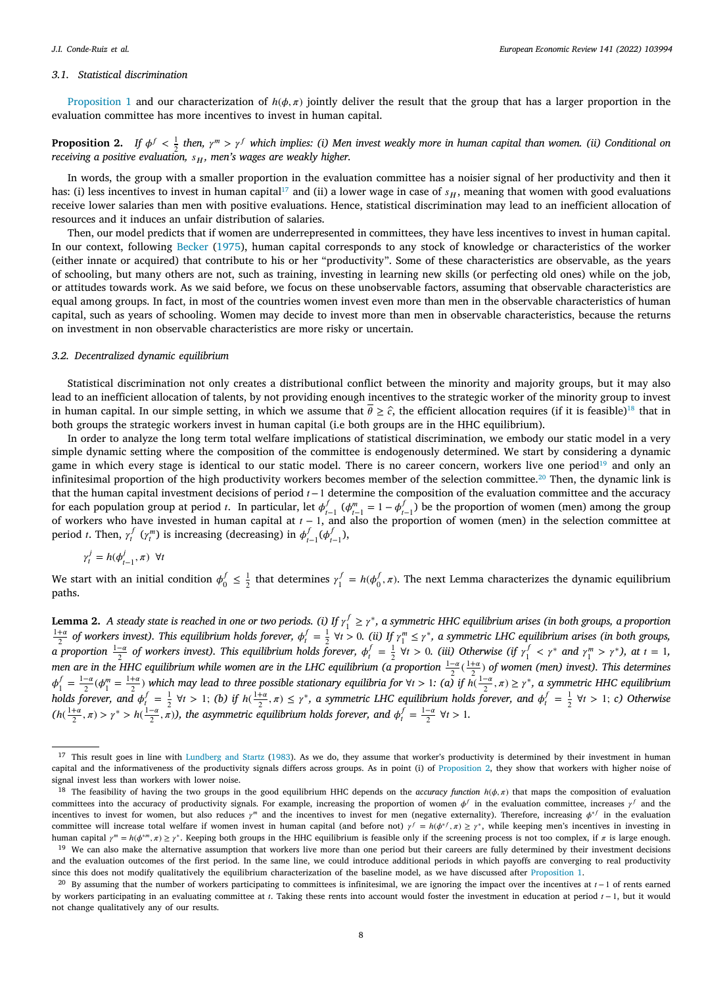#### *3.1. Statistical discrimination*

[Proposition](#page-5-2) [1](#page-5-2) and our characterization of  $h(\phi, \pi)$  jointly deliver the result that the group that has a larger proportion in the evaluation committee has more incentives to invest in human capital.

<span id="page-7-4"></span>**Proposition 2.** If  $\phi^f < \frac{1}{2}$  then,  $\gamma^m > \gamma^f$  which implies: (i) Men invest weakly more in human capital than women. (ii) Conditional on *receiving a positive evaluation,*  $s_H$ , men's wages are weakly higher.

<span id="page-7-0"></span>In words, the group with a smaller proportion in the evaluation committee has a noisier signal of her productivity and then it has: (i) less incentives to invest in human capital<sup>[17](#page-7-0)</sup> and (ii) a lower wage in case of  $s_H$ , meaning that women with good evaluations receive lower salaries than men with positive evaluations. Hence, statistical discrimination may lead to an inefficient allocation of resources and it induces an unfair distribution of salaries.

Then, our model predicts that if women are underrepresented in committees, they have less incentives to invest in human capital. In our context, following [Becker](#page-21-15) [\(1975](#page-21-15)), human capital corresponds to any stock of knowledge or characteristics of the worker (either innate or acquired) that contribute to his or her "productivity". Some of these characteristics are observable, as the years of schooling, but many others are not, such as training, investing in learning new skills (or perfecting old ones) while on the job, or attitudes towards work. As we said before, we focus on these unobservable factors, assuming that observable characteristics are equal among groups. In fact, in most of the countries women invest even more than men in the observable characteristics of human capital, such as years of schooling. Women may decide to invest more than men in observable characteristics, because the returns on investment in non observable characteristics are more risky or uncertain.

### *3.2. Decentralized dynamic equilibrium*

Statistical discrimination not only creates a distributional conflict between the minority and majority groups, but it may also lead to an inefficient allocation of talents, by not providing enough incentives to the strategic worker of the minority group to invest in human capital. In our simple setting, in which we assume that  $\bar{\theta} \geq \hat{c}$ , the efficient allocation requires (if it is feasible)<sup>[18](#page-7-1)</sup> that in both groups the strategic workers invest in human capital (i.e both groups are in the HHC equilibrium).

In order to analyze the long term total welfare implications of statistical discrimination, we embody our static model in a very simple dynamic setting where the composition of the committee is endogenously determined. We start by considering a dynamic game in which every stage is identical to our static model. There is no career concern, workers live one period<sup>[19](#page-7-2)</sup> and only an infinitesimal proportion of the high productivity workers becomes member of the selection committee.<sup>[20](#page-7-3)</sup> Then, the dynamic link is that the human capital investment decisions of period  $t$  − 1 determine the composition of the evaluation committee and the accuracy for each population group at period *t*. In particular, let  $\phi_{t-1}^f$  ( $\phi_{t-1}^m = 1 - \phi_{t-1}^f$ ) be the proportion of women (men) among the group<br>of workers who have invested in human capital at  $t-1$ , and also the prop period *t*. Then,  $\gamma_t^f$  ( $\gamma_t^m$ ) is increasing (decreasing) in  $\phi_{t-1}^f(\phi_{t-1}^f)$ ,

<span id="page-7-3"></span><span id="page-7-2"></span><span id="page-7-1"></span>
$$
\gamma_t^j = h(\phi_{t-1}^j, \pi) \ \forall t
$$

We start with an initial condition  $\phi_0^f \leq \frac{1}{2}$  that determines  $\gamma_1^f = h(\phi_0^f, \pi)$ . The next Lemma characterizes the dynamic equilibrium paths.

<span id="page-7-5"></span>**Lemma 2.** A steady state is reached in one or two periods. (i) If  $\gamma_1^f \geq \gamma^*$ , a symmetric HHC equilibrium arises (in both groups, a proportion  $\frac{1+a}{2}$  of workers invest). This equilibrium holds forever,  $\phi_i^f = \frac{1}{2}$   $\forall t > 0$ . (ii) If  $\gamma_1^m \le \gamma^*$ , a symmetric LHC equilibrium arises (in both groups, *a* proportion  $\frac{1-a}{2}$  of workers invest). This equilibrium holds forever,  $\phi_t^f = \frac{1}{2}$   $\forall t > 0$ . (iii) Otherwise (if  $\gamma_1^f < \gamma^*$  and  $\gamma_1^m > \gamma^*$ ), at  $t = 1$ , *men are in the HHC equilibrium while women are in the LHC equilibrium (a proportion*  $\frac{1-a}{2}(\frac{1+a}{2})$  *of women (men) invest). This determines*  $\phi_1^f = \frac{1-a}{2}(\phi_1^m = \frac{1+a}{2})$  which may lead to three possible stationary equilibria for  $\forall t > 1$ : (a) if  $h(\frac{1-a}{2}, \pi) \ge \gamma^*$ , a symmetric HHC equilibrium *holds forever, and*  $\phi_i^f = \frac{1}{2}$   $\forall t > 1$ ; *(b) if*  $h(\frac{1+\alpha}{2}, \pi) \leq \gamma^*$ , a symmetric LHC equilibrium holds forever, and  $\phi_i^f = \frac{1}{2}$   $\forall t > 1$ ; *c)* Otherwise  $(h(\frac{1+\alpha}{2}, \pi) > \gamma^* > h(\frac{1-\alpha}{2}, \pi))$ , the asymmetric equilibrium holds forever, and  $\phi_t^f = \frac{1-\alpha}{2}$   $\forall t > 1$ .

<sup>&</sup>lt;sup>17</sup> This result goes in line with [Lundberg and Startz](#page-22-12) [\(1983\)](#page-22-12). As we do, they assume that worker's productivity is determined by their investment in human capital and the informativeness of the productivity signals differs across groups. As in point (i) of [Proposition](#page-7-4) [2,](#page-7-4) they show that workers with higher noise of signal invest less than workers with lower noise.

<sup>&</sup>lt;sup>18</sup> The feasibility of having the two groups in the good equilibrium HHC depends on the *accuracy function*  $h(\phi, \pi)$  that maps the composition of evaluation committees into the accuracy of productivity signals. For example, increasing the proportion of women  $\phi^f$  in the evaluation committee, increases  $\gamma^f$  and the incentives to invest for women, but also reduces  $\gamma^m$  and the incentives to invest for men (negative externality). Therefore, increasing  $\phi^{*/}$  in the evaluation committee will increase total welfare if women invest in human capital (and before not)  $\gamma' = h(\phi^*, \pi) \ge \gamma^*$ , while keeping men's incentives in investing in human capital  $\gamma^m = h(\phi^{*m}, \pi) \geq \gamma^*$ . Keeping both groups in the HHC equilibrium is feasible only if the screening process is not too complex, if  $\pi$  is large enough.

<sup>&</sup>lt;sup>19</sup> We can also make the alternative assumption that workers live more than one period but their careers are fully determined by their investment decisions and the evaluation outcomes of the first period. In the same line, we could introduce additional periods in which payoffs are converging to real productivity since this does not modify qualitatively the equilibrium characterization of the baseline model, as we have discussed after [Proposition](#page-5-2) [1.](#page-5-2)

<sup>&</sup>lt;sup>20</sup> By assuming that the number of workers participating to committees is infinitesimal, we are ignoring the impact over the incentives at  $t-1$  of rents earned by workers participating in an evaluating committee at *t*. Taking these rents into account would foster the investment in education at period  $t - 1$ , but it would not change qualitatively any of our results.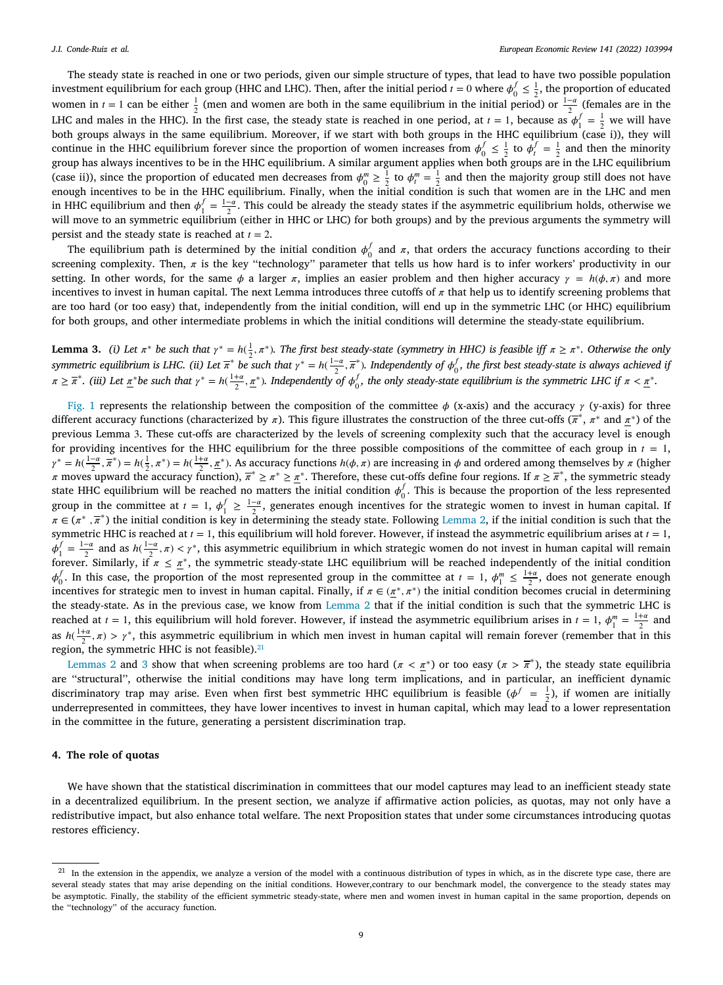The steady state is reached in one or two periods, given our simple structure of types, that lead to have two possible population investment equilibrium for each group (HHC and LHC). Then, after the initial period  $t = 0$  where  $\phi_0^f \leq \frac{1}{2}$ , the proportion of educated women in  $t = 1$  can be either  $\frac{1}{2}$  (men and women are both in the same equilibrium in the initial period) or  $\frac{1-\alpha}{2}$  (females are in the LHC and males in the HHC). In the first case, the steady state is reached in one period, at  $t = 1$ , because as  $\phi_1^f = \frac{1}{2}$  we will have both groups always in the same equilibrium. Moreover, if we start with both groups in the HHC equilibrium (case i)), they will continue in the HHC equilibrium forever since the proportion of women increases from  $\phi_0^f \leq \frac{1}{2}$  to  $\phi_t^f = \frac{1}{2}$  and then the minority group has always incentives to be in the HHC equilibrium. A similar argument applies when both groups are in the LHC equilibrium (case ii)), since the proportion of educated men decreases from  $\phi_0^m \ge \frac{1}{2}$  to  $\phi_i^m = \frac{1}{2}$  and then the majority group still does not have enough incentives to be in the HHC equilibrium. Finally, when the initial condition is such that women are in the LHC and men in HHC equilibrium and then  $\phi_1^f = \frac{1-a}{2}$ . This could be already the steady states if the asymmetric equilibrium holds, otherwise we will move to an symmetric equilibrium (either in HHC or LHC) for both groups) and by the previous arguments the symmetry will move to an symmetric equilibrium (either in HHC or LHC) for both groups) and by the previous ar persist and the steady state is reached at  $t = 2$ .

The equilibrium path is determined by the initial condition  $\phi_0^f$  and  $\pi$ , that orders the accuracy functions according to their screening complexity. Then,  $\pi$  is the key "technology" parameter that tells us how hard is to infer workers' productivity in our setting. In other words, for the same  $\phi$  a larger  $\pi$ , implies an easier problem and then higher accuracy  $\gamma = h(\phi, \pi)$  and more incentives to invest in human capital. The next Lemma introduces three cutoffs of  $\pi$  that help us to identify screening problems that are too hard (or too easy) that, independently from the initial condition, will end up in the symmetric LHC (or HHC) equilibrium for both groups, and other intermediate problems in which the initial conditions will determine the steady-state equilibrium.

<span id="page-8-1"></span>**Lemma 3.** *(i) Let*  $\pi^*$  be such that  $\gamma^* = h(\frac{1}{2}, \pi^*)$ . The first best steady-state (symmetry in HHC) is feasible iff  $\pi \geq \pi^*$ . Otherwise the only *symmetric equilibrium is LHC. (ii) Let*  $\overline{\pi}^*$  be such that  $\gamma^* = h(\frac{1-\alpha}{2}, \overline{\pi}^*)$ . Independently of  $\phi_0^f$ , the first best steady-state is always achieved if  $\gamma$  $\pi \geq \overline{\pi}^*$ . (iii) Let  $\underline{\pi}^*$  be such that  $\gamma^* = h(\frac{1+a}{2}, \underline{\pi}^*)$ . Independently of  $\phi_0^f$ , the only steady-state equilibrium is the symmetric LHC if  $\pi < \underline{\pi}^*$ .

[Fig.](#page-9-1) [1](#page-9-1) represents the relationship between the composition of the committee  $\phi$  (x-axis) and the accuracy  $\gamma$  (y-axis) for three different accuracy functions (characterized by  $\pi$ ). This figure illustrates the construction of the three cut-offs ( $\pi^*$ ,  $\pi^*$  and  $\pi^*$ ) of the previous Lemma 3. These cut-offs are characterized by the levels of screening complexity such that the accuracy level is enough for providing incentives for the HHC equilibrium for the three possible compositions of the committee of each group in  $t = 1$ ,  $\gamma^* = h(\frac{1-\alpha}{2}, \overline{\pi}^*) = h(\frac{1}{2}, \pi^*) = h(\frac{1+\alpha}{2}, \underline{\pi}^*)$ . As accuracy functions  $h(\phi, \pi)$  are increasing in  $\phi$  and ordered among themselves by  $\pi$  (higher *π* moves upward the accuracy function),  $\overline{\pi}^* \geq \pi^* \geq \pi^*$ . Therefore, these cut-offs define four regions. If  $\pi \geq \overline{\pi}^*$ , the symmetric steady state HHC equilibrium will be reached no matters the initial condition  $\phi_0^f$ . This is because the proportion of the less represented group in the committee at  $t = 1$ ,  $\phi_1^f \ge \frac{1-\alpha}{2}$ , generates enough incentives for the strategic women to invest in human capital. If  $\pi \in (\pi^*, \overline{\pi}^*)$  the initial condition is key in determining the steady state. Following [Lemma](#page-7-5) [2,](#page-7-5) if the initial condition is such that the symmetric HHC is reached at  $t = 1$ , this equilibrium will hold forever. However, if instead the asymmetric equilibrium arises at  $t = 1$ ,  $\phi_1^f = \frac{1-\alpha}{2}$  and as  $h(\frac{1-\alpha}{2}, \pi) < \gamma^*$ , this asymmetric equilibrium in which strategic women do not invest in human capital will remain forever. Similarly, if  $\pi \leq \pi^*$ , the symmetric steady-state LHC equilibrium will be reached independently of the initial condition  $\phi_0^f$ . In this case, the proportion of the most represented group in the committee at  $t = 1$ ,  $\phi_1^m \le \frac{1+\alpha}{2}$ , does not generate enough incentives for strategic men to invest in human capital. Finally, if  $\pi \in (\pi^*, \pi^*)$  the initial condition becomes crucial in determining the steady-state. As in the previous case, we know from [Lemma](#page-7-5) [2](#page-7-5) that if the initial condition is such that the symmetric LHC is reached at  $t = 1$ , this equilibrium will hold forever. However, if instead the asymmetric equilibrium arises in  $t = 1$ ,  $\phi_1^m = \frac{1+\alpha}{2}$  and as  $h(\frac{1+\alpha}{2}, \pi) > \gamma^*$ , this asymmetric equilibrium in which men invest in human capital will remain forever (remember that in this region, the symmetric HHC is not feasible). $21$ 

<span id="page-8-0"></span>[Lemmas](#page-7-5) [2](#page-7-5) and [3](#page-8-1) show that when screening problems are too hard ( $\pi < \pi^*$ ) or too easy ( $\pi > \overline{\pi}^*$ ), the steady state equilibria are ''structural'', otherwise the initial conditions may have long term implications, and in particular, an inefficient dynamic discriminatory trap may arise. Even when first best symmetric HHC equilibrium is feasible ( $\phi^f = \frac{1}{2}$ ), if women are initially underrepresented in committees, they have lower incentives to invest in human capital, which may lead to a lower representation in the committee in the future, generating a persistent discrimination trap.

# **4. The role of quotas**

We have shown that the statistical discrimination in committees that our model captures may lead to an inefficient steady state in a decentralized equilibrium. In the present section, we analyze if affirmative action policies, as quotas, may not only have a redistributive impact, but also enhance total welfare. The next Proposition states that under some circumstances introducing quotas restores efficiency.

<span id="page-8-2"></span>In the extension in the appendix, we analyze a version of the model with a continuous distribution of types in which, as in the discrete type case, there are several steady states that may arise depending on the initial conditions. However,contrary to our benchmark model, the convergence to the steady states may be asymptotic. Finally, the stability of the efficient symmetric steady-state, where men and women invest in human capital in the same proportion, depends on the ''technology'' of the accuracy function.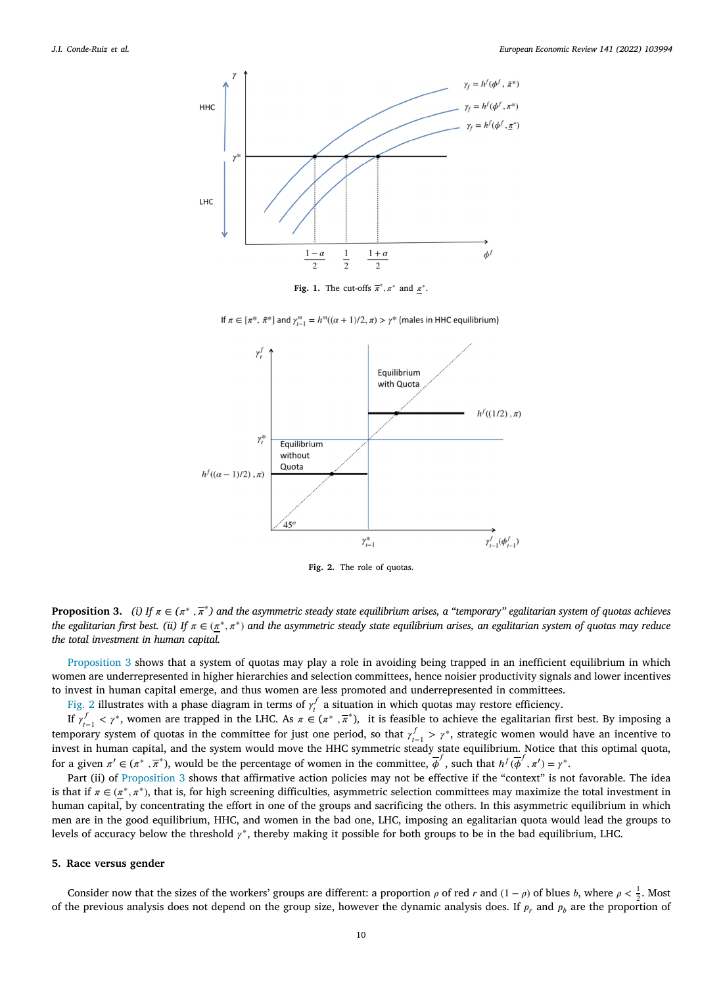

**Fig. 1.** The cut-offs  $\overline{\pi}^*, \pi^*$  and  $\underline{\pi}^*$ .

If  $\pi \in [\pi^*, \bar{\pi}^*]$  and  $\gamma_{i-1}^m = h^m((\alpha + 1)/2, \pi) > \gamma^*$  (males in HHC equilibrium)

<span id="page-9-1"></span>

**Fig. 2.** The role of quotas.

<span id="page-9-2"></span>**Proposition 3.** *(i)* If  $\pi \in (\pi^*, \overline{\pi}^*)$  and the asymmetric steady state equilibrium arises, a "temporary" egalitarian system of quotas achieves the egalitarian first best. (ii) If  $\pi \in (\pi^*, \pi^*)$  and the asymmetric steady state equilibrium arises, an egalitarian system of quotas may reduce *the total investment in human capital.*

[Proposition](#page-8-2) [3](#page-8-2) shows that a system of quotas may play a role in avoiding being trapped in an inefficient equilibrium in which women are underrepresented in higher hierarchies and selection committees, hence noisier productivity signals and lower incentives to invest in human capital emerge, and thus women are less promoted and underrepresented in committees.

[Fig.](#page-9-2) [2](#page-9-2) illustrates with a phase diagram in terms of  $\gamma_i^f$  a situation in which quotas may restore efficiency.

If  $\gamma_{t-1}^f < \gamma^*$ , women are trapped in the LHC. As  $\pi \in (\pi^*, \overline{\pi}^*)$ , it is feasible to achieve the egalitarian first best. By imposing a temporary system of quotas in the committee for just one period, so that  $\gamma_{t-1}^f > \gamma^*$ , strategic women would have an incentive to invest in human capital, and the system would move the HHC symmetric steady state equilibrium. Notice that this optimal quota, for a given  $\pi' \in (\pi^*, \overline{\pi}^*)$ , would be the percentage of women in the committee,  $\overline{\phi}^f$ , such that  $h^f(\overline{\phi}^f, \pi') = \gamma^*$ .

Part (ii) of [Proposition](#page-8-2) [3](#page-8-2) shows that affirmative action policies may not be effective if the "context" is not favorable. The idea is that if  $\pi \in (\mathbb{Z}^*, \pi^*)$ , that is, for high screening difficulties, asymmetric selection committees may maximize the total investment in human capital, by concentrating the effort in one of the groups and sacrificing the others. In this asymmetric equilibrium in which men are in the good equilibrium, HHC, and women in the bad one, LHC, imposing an egalitarian quota would lead the groups to levels of accuracy below the threshold  $\gamma^*$ , thereby making it possible for both groups to be in the bad equilibrium, LHC.

# **5. Race versus gender**

<span id="page-9-0"></span>Consider now that the sizes of the workers' groups are different: a proportion  $\rho$  of red  $r$  and  $(1 - \rho)$  of blues  $b$ , where  $\rho < \frac{1}{2}$ . Most of the previous analysis does not depend on the group size, however the dynamic analysis does. If  $p_r$  and  $p_b$  are the proportion of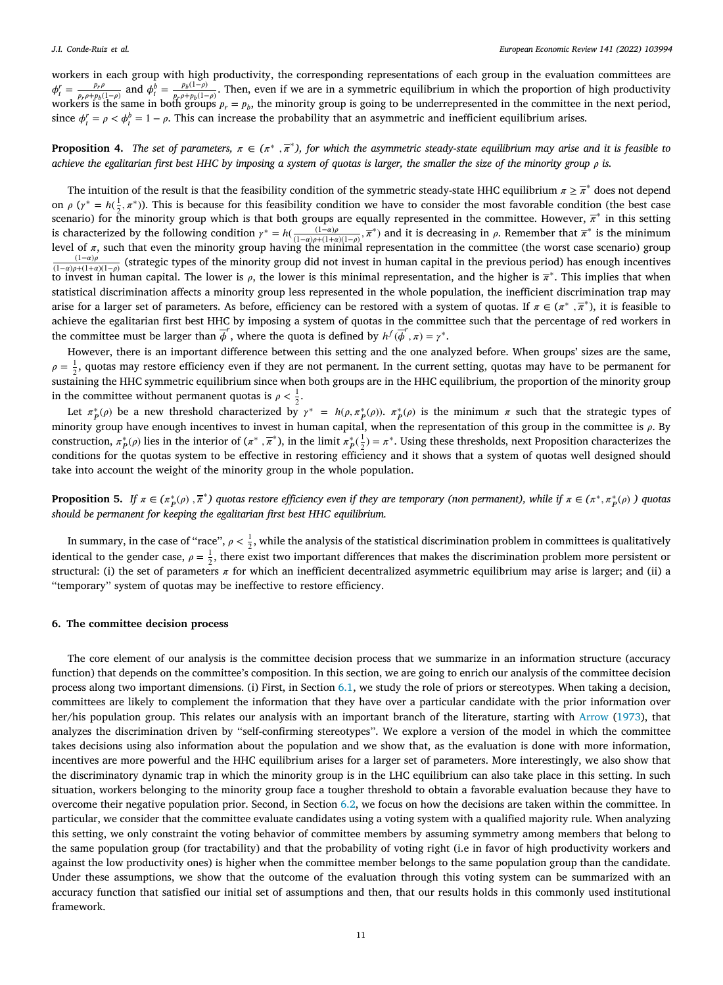workers in each group with high productivity, the corresponding representations of each group in the evaluation committees are  $\phi_t^r = \frac{p_r \rho}{p_r \rho + p_b}$  $\frac{p_r \rho}{p_r \rho + p_b(1-\rho)}$  and  $\phi_t^b = \frac{p_b(1-\rho)}{p_r \rho + p_b(1-\rho)}$  $\frac{p_b(1-p)}{p_f+p_b(1-p)}$ . Then, even if we are in a symmetric equilibrium in which the proportion of high productivity workers is the same in both groups  $p_r = p_b$ , the minority group is going to be underrepresented in the committee in the next period, since  $\phi_t^r = \rho < \phi_t^b = 1 - \rho$ . This can increase the probability that an asymmetric and inefficient equilibrium arises.

<span id="page-10-1"></span>**Proposition 4.** The set of parameters,  $\pi \in (\pi^*, \overline{\pi}^*)$ , for which the asymmetric steady-state equilibrium may arise and it is feasible to *achieve the egalitarian first best HHC by imposing a system of quotas is larger, the smaller the size of the minority group is.*

The intuition of the result is that the feasibility condition of the symmetric steady-state HHC equilibrium  $\pi \geq \overline{\pi}^*$  does not depend on  $\rho$  ( $\gamma^* = h(\frac{1}{2}, \pi^*)$ ). This is because for this feasibility condition we have to consider the most favorable condition (the best case scenario) for the minority group which is that both groups are equally represented in the committee. However,  $\bar{\pi}^*$  in this setting is characterized by the following condition  $\gamma^* = h(\frac{(1-a)\rho}{(1-a)\rho + (1+a)(1-\rho)}, \overline{\pi}^*)$  and it is decreasing in  $\rho$ . Remember that  $\overline{\pi}^*$  is the minimum level of  $\pi$ , such that even the minority group having the minimal representation in the committee (the worst case scenario) group  $\frac{(1-a)\rho}{(1-a)\rho+(1+a)(1-\rho)}$  (strategic types of the minority group did not invest in human capital in the previous period) has enough incentives to invest in human capital. The lower is  $\rho$ , the lower is this minimal representation, and the higher is  $\bar{\pi}^*$ . This implies that when statistical discrimination affects a minority group less represented in the whole population, the inefficient discrimination trap may arise for a larger set of parameters. As before, efficiency can be restored with a system of quotas. If  $\pi \in (\pi^*, \pi^*)$ , it is feasible to achieve the egalitarian first best HHC by imposing a system of quotas in the committee such that the percentage of red workers in the committee must be larger than  $\overline{\phi}^r$ , where the quota is defined by  $h^f(\overline{\phi}^r, \pi) = \gamma^*$ .

However, there is an important difference between this setting and the one analyzed before. When groups' sizes are the same,  $\rho = \frac{1}{2}$ , quotas may restore efficiency even if they are not permanent. In the current setting, quotas may have to be permanent for  $\frac{2}{2}$ , quotas may restore emerging over n andy are not permanent. In the entries setting, quotas may have to be permanent restatining the HHC symmetric equilibrium since when both groups are in the HHC equilibrium, th in the committee without permanent quotas is  $\rho < \frac{1}{2}$ .

Let  $\pi_p^*(\rho)$  be a new threshold characterized by  $\gamma^* = h(\rho, \pi_p^*(\rho))$ .  $\pi_p^*(\rho)$  is the minimum  $\pi$  such that the strategic types of minority group have enough incentives to invest in human capital, when the representation of this group in the committee is  $\rho$ . By construction,  $\pi_P^*(\rho)$  lies in the interior of  $(\pi^*, \overline{\pi}^*)$ , in the limit  $\pi_P^*(\frac{1}{2}) = \pi^*$ . Using these thresholds, next Proposition characterizes the conditions for the quotas system to be effective in restoring efficiency and it shows that a system of quotas well designed should take into account the weight of the minority group in the whole population.

<span id="page-10-2"></span>**Proposition 5.** If  $\pi \in (\pi_p^*(\rho), \overline{\pi}^*)$  quotas restore efficiency even if they are temporary (non permanent), while if  $\pi \in (\pi^*, \pi_p^*(\rho))$  quotas *should be permanent for keeping the egalitarian first best HHC equilibrium.*

In summary, in the case of "race",  $\rho < \frac{1}{2}$ , while the analysis of the statistical discrimination problem in committees is qualitatively identical to the gender case,  $\rho = \frac{1}{2}$ , there exist two important differences that makes the discrimination problem more persistent or structural: (i) the set of parameters  $\pi$  for which an inefficient decentralized asymmetric equilibrium may arise is larger; and (ii) a ''temporary'' system of quotas may be ineffective to restore efficiency.

# **6. The committee decision process**

<span id="page-10-0"></span>The core element of our analysis is the committee decision process that we summarize in an information structure (accuracy function) that depends on the committee's composition. In this section, we are going to enrich our analysis of the committee decision process along two important dimensions. (i) First, in Section [6.1,](#page-11-0) we study the role of priors or stereotypes. When taking a decision, committees are likely to complement the information that they have over a particular candidate with the prior information over her/his population group. This relates our analysis with an important branch of the literature, starting with [Arrow](#page-21-0) ([1973\)](#page-21-0), that analyzes the discrimination driven by ''self-confirming stereotypes''. We explore a version of the model in which the committee takes decisions using also information about the population and we show that, as the evaluation is done with more information, incentives are more powerful and the HHC equilibrium arises for a larger set of parameters. More interestingly, we also show that the discriminatory dynamic trap in which the minority group is in the LHC equilibrium can also take place in this setting. In such situation, workers belonging to the minority group face a tougher threshold to obtain a favorable evaluation because they have to overcome their negative population prior. Second, in Section [6.2,](#page-12-0) we focus on how the decisions are taken within the committee. In particular, we consider that the committee evaluate candidates using a voting system with a qualified majority rule. When analyzing this setting, we only constraint the voting behavior of committee members by assuming symmetry among members that belong to the same population group (for tractability) and that the probability of voting right (i.e in favor of high productivity workers and against the low productivity ones) is higher when the committee member belongs to the same population group than the candidate. Under these assumptions, we show that the outcome of the evaluation through this voting system can be summarized with an accuracy function that satisfied our initial set of assumptions and then, that our results holds in this commonly used institutional framework.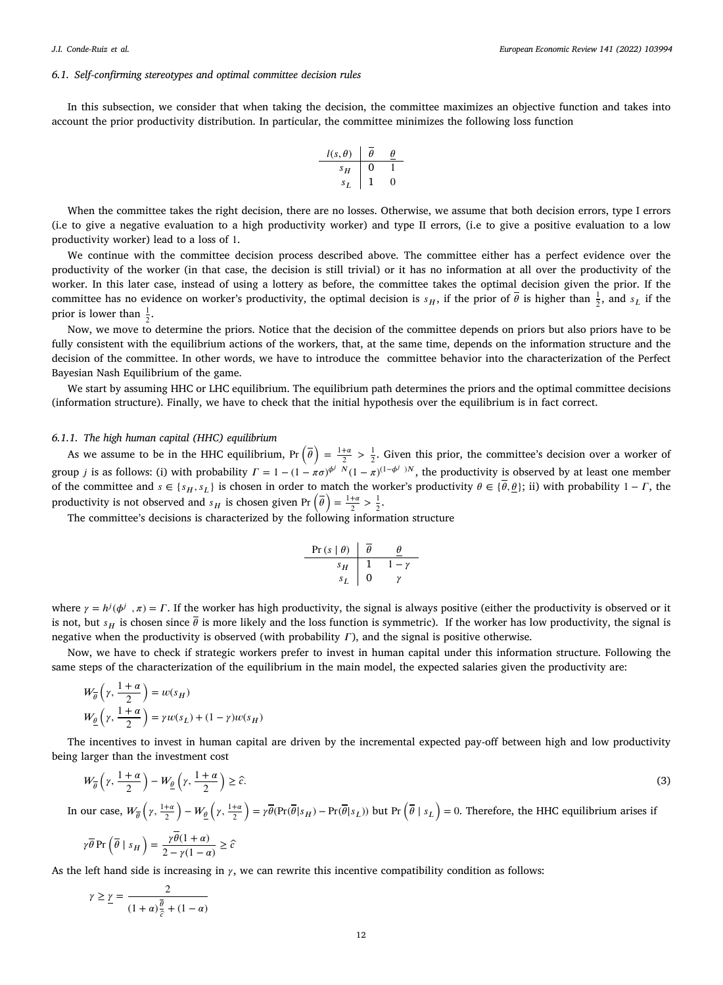### *6.1. Self-confirming stereotypes and optimal committee decision rules*

<span id="page-11-0"></span>In this subsection, we consider that when taking the decision, the committee maximizes an objective function and takes into account the prior productivity distribution. In particular, the committee minimizes the following loss function

$$
\begin{array}{c|cc}\n l(s, \theta) & \overline{\theta} & \underline{\theta} \\
 \hline\n s_H & 0 & 1 \\
 s_L & 1 & 0\n\end{array}
$$

When the committee takes the right decision, there are no losses. Otherwise, we assume that both decision errors, type I errors (i.e to give a negative evaluation to a high productivity worker) and type II errors, (i.e to give a positive evaluation to a low productivity worker) lead to a loss of 1.

We continue with the committee decision process described above. The committee either has a perfect evidence over the productivity of the worker (in that case, the decision is still trivial) or it has no information at all over the productivity of the worker. In this later case, instead of using a lottery as before, the committee takes the optimal decision given the prior. If the committee has no evidence on worker's productivity, the optimal decision is  $s_H$ , if the prior of  $\overline{\theta}$  is higher than  $\frac{1}{2}$ , and  $s_L$  if the prior is lower than  $\frac{1}{2}$ .

Now, we move to determine the priors. Notice that the decision of the committee depends on priors but also priors have to be fully consistent with the equilibrium actions of the workers, that, at the same time, depends on the information structure and the decision of the committee. In other words, we have to introduce the committee behavior into the characterization of the Perfect Bayesian Nash Equilibrium of the game.

We start by assuming HHC or LHC equilibrium. The equilibrium path determines the priors and the optimal committee decisions (information structure). Finally, we have to check that the initial hypothesis over the equilibrium is in fact correct.

# *6.1.1. The high human capital (HHC) equilibrium*

As we assume to be in the HHC equilibrium,  $Pr\left(\overline{\theta}\right) = \frac{1+\alpha}{2} > \frac{1}{2}$ . Given this prior, the committee's decision over a worker of group *j* is as follows: (i) with probability  $\Gamma = 1 - (1 - \pi \sigma)^{\phi^j} N (1 - \pi)^{(1 - \phi^j)N}$ , the productivity is observed by at least one member of the committee and  $s \in \{s_H, s_L\}$  is chosen in order to match the worker's productivity  $\theta \in \{\theta, \theta\}$ ; ii) with probability  $1 - \Gamma$ , the productivity is not observed and  $s_H$  is chosen given Pr  $(\bar{\theta}) = \frac{1+\alpha}{2} > \frac{1}{2}$ .

The committee's decisions is characterized by the following information structure

$$
\begin{array}{c|cc}\n\Pr\left(s \mid \theta\right) & \overline{\theta} & \underline{\theta} \\
\hline\ns_H & 1 & 1 - \gamma \\
s_L & 0 & \gamma\n\end{array}
$$

where  $\gamma = h^j(\phi^j, \pi) = \Gamma$ . If the worker has high productivity, the signal is always positive (either the productivity is observed or it is not, but  $s_H$  is chosen since  $\overline{\theta}$  is more likely and the loss function is symmetric). If the worker has low productivity, the signal is negative when the productivity is observed (with probability  $\Gamma$ ), and the signal is positive otherwise.

Now, we have to check if strategic workers prefer to invest in human capital under this information structure. Following the same steps of the characterization of the equilibrium in the main model, the expected salaries given the productivity are:

$$
W_{\overline{\theta}}\left(\gamma, \frac{1+\alpha}{2}\right) = w(s_H)
$$
  

$$
W_{\underline{\theta}}\left(\gamma, \frac{1+\alpha}{2}\right) = \gamma w(s_L) + (1-\gamma)w(s_H)
$$

The incentives to invest in human capital are driven by the incremental expected pay-off between high and low productivity being larger than the investment cost

$$
W_{\overline{\theta}}\left(\gamma,\frac{1+\alpha}{2}\right)-W_{\underline{\theta}}\left(\gamma,\frac{1+\alpha}{2}\right)\geq\hat{c}.\tag{3}
$$

In our case,  $W_{\overline{\theta}}\left(\gamma, \frac{1+a}{2}\right)$  $-\frac{W_{\theta}}{2}\left(\gamma,\frac{1+a}{2}\right)$  $= \gamma \overline{\theta}(\Pr(\overline{\theta}|s_H) - \Pr(\overline{\theta}|s_L))$  but  $\Pr(\overline{\theta}|s_L) = 0$ . Therefore, the HHC equilibrium arises if

$$
\gamma \overline{\theta} \Pr\left(\overline{\theta} \mid s_H\right) = \frac{\gamma \overline{\theta} (1 + \alpha)}{2 - \gamma (1 - \alpha)} \ge \widehat{c}
$$

As the left hand side is increasing in  $\gamma$ , we can rewrite this incentive compatibility condition as follows:

$$
\gamma \ge \underline{\gamma} = \frac{2}{(1+\alpha)\frac{\overline{\theta}}{\hat{c}} + (1-\alpha)}
$$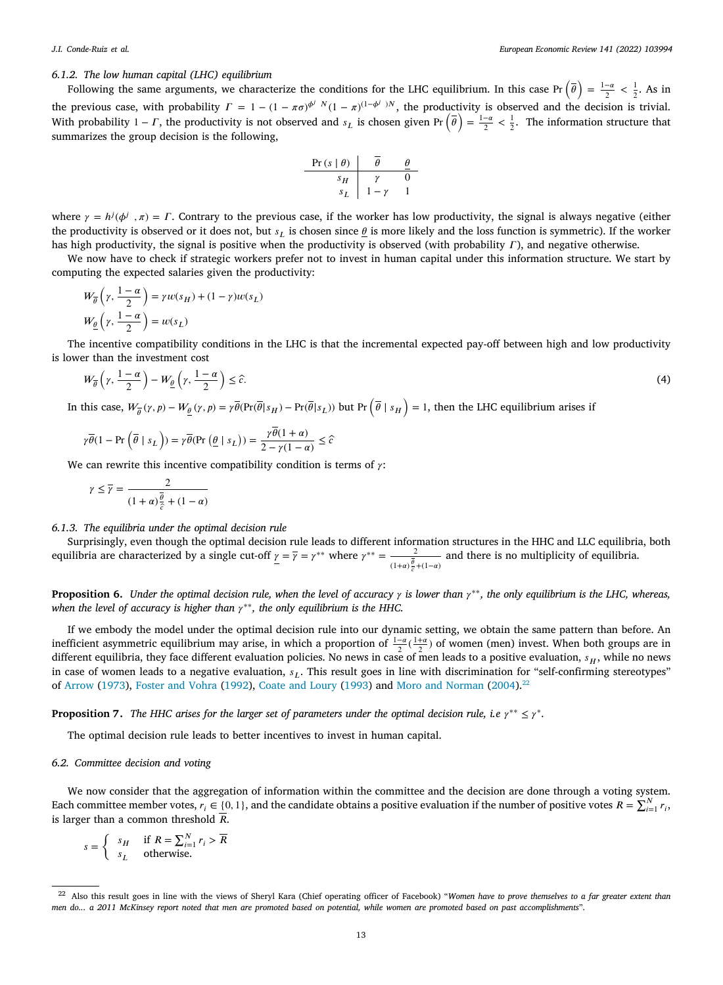# *6.1.2. The low human capital (LHC) equilibrium*

Following the same arguments, we characterize the conditions for the LHC equilibrium. In this case  $Pr(\bar{\theta}) = \frac{1-\alpha}{2} < \frac{1}{2}$ . As in the previous case, with probability  $\Gamma = 1 - (1 - \pi \sigma)^{\phi^j} N (1 - \pi)^{(1 - \phi^j)N}$ , the productivity is observed and the decision is trivial. With probability  $1 - \Gamma$ , the productivity is not observed and  $s_L$  is chosen given Pr  $(\bar{\theta}) = \frac{1-\alpha}{2} < \frac{1}{2}$ . The information structure that summarizes the group decision is the following,

| Pr (s   $\theta$ ) | $\overline{\theta}$ | $\theta$ |
|--------------------|---------------------|----------|
| $s_H$              | $\gamma$            | 0        |
| $s_L$              | $1 - \gamma$        | 1        |

where  $\gamma = h^{j}(\phi^{j}, \pi) = \Gamma$ . Contrary to the previous case, if the worker has low productivity, the signal is always negative (either the productivity is observed or it does not, but  $s<sub>I</sub>$  is chosen since  $\theta$  is more likely and the loss function is symmetric). If the worker has high productivity, the signal is positive when the productivity is observed (with probability  $\Gamma$ ), and negative otherwise.

We now have to check if strategic workers prefer not to invest in human capital under this information structure. We start by computing the expected salaries given the productivity:

$$
W_{\overline{\theta}}\left(\gamma, \frac{1-\alpha}{2}\right) = \gamma w(s_H) + (1-\gamma)w(s_L)
$$
  

$$
W_{\underline{\theta}}\left(\gamma, \frac{1-\alpha}{2}\right) = w(s_L)
$$

The incentive compatibility conditions in the LHC is that the incremental expected pay-off between high and low productivity is lower than the investment cost

$$
W_{\overline{\theta}}\left(\gamma,\frac{1-\alpha}{2}\right)-W_{\underline{\theta}}\left(\gamma,\frac{1-\alpha}{2}\right)\leq\widehat{c}.\tag{4}
$$

In this case,  $W_{\overline{\theta}}(\gamma, p) - W_{\underline{\theta}}(\gamma, p) = \gamma \overline{\theta}(\Pr(\overline{\theta}|s_H) - \Pr(\overline{\theta}|s_L))$  but  $\Pr\left(\overline{\theta} | s_H\right) = 1$ , then the LHC equilibrium arises if

$$
\gamma\overline{\theta}(1 - \Pr\left(\overline{\theta} \mid s_L\right)) = \gamma\overline{\theta}(\Pr\left(\underline{\theta} \mid s_L\right)) = \frac{\gamma\overline{\theta}(1 + \alpha)}{2 - \gamma(1 - \alpha)} \leq \widehat{c}
$$

We can rewrite this incentive compatibility condition is terms of  $\gamma$ :

$$
\gamma \le \overline{\gamma} = \frac{2}{(1+\alpha)\frac{\overline{\theta}}{\hat{c}} + (1-\alpha)}
$$

*6.1.3. The equilibria under the optimal decision rule*

Surprisingly, even though the optimal decision rule leads to different information structures in the HHC and LLC equilibria, both equilibria are characterized by a single cut-off  $\gamma = \overline{\gamma} = \gamma^{**}$  where  $\gamma^{**} = \frac{2}{\overline{\gamma}}$  $\frac{z}{(1+\alpha)\frac{\theta}{\zeta}+(1-\alpha)}$  and there is no multiplicity of equilibria.

<span id="page-12-2"></span>**Proposition 6.** *Under the optimal decision rule, when the level of accuracy is lower than* ∗∗*, the only equilibrium is the LHC, whereas,* when the level of accuracy is higher than  $\gamma^{**}$ , the only equilibrium is the HHC.

If we embody the model under the optimal decision rule into our dynamic setting, we obtain the same pattern than before. An inefficient asymmetric equilibrium may arise, in which a proportion of  $\frac{1-\alpha}{2}(\frac{1+\alpha}{2})$  of women (men) invest. When both groups are in different equilibria, they face different evaluation policies. No news in case of men leads to a positive evaluation,  $s_H$ , while no news in case of women leads to a negative evaluation,  $s_L$ . This result goes in line with discrimination for "self-confirming stereotypes" of [Arrow](#page-21-0) [\(1973](#page-21-0)), [Foster and Vohra](#page-22-14) [\(1992](#page-22-14)), [Coate and Loury](#page-21-7) ([1993](#page-21-7)) and [Moro and Norman](#page-22-15) [\(2004\)](#page-22-15).<sup>[22](#page-12-1)</sup>

<span id="page-12-3"></span>**Proposition 7.** The HHC arises for the larger set of parameters under the optimal decision rule, i.e  $\gamma^{**} \leq \gamma^*$ .

<span id="page-12-1"></span>The optimal decision rule leads to better incentives to invest in human capital.

# *6.2. Committee decision and voting*

<span id="page-12-0"></span>We now consider that the aggregation of information within the committee and the decision are done through a voting system. Each committee member votes,  $r_i \in \{0, 1\}$ , and the candidate obtains a positive evaluation if the number of positive votes  $R = \sum_{i=1}^{N} r_i$ , is larger than a common threshold  $\overline{R}$ .

$$
s = \begin{cases} s_H & \text{if } R = \sum_{i=1}^N r_i > \overline{R} \\ s_L & \text{otherwise.} \end{cases}
$$

<sup>&</sup>lt;sup>22</sup> Also this result goes in line with the views of Sheryl Kara (Chief operating officer of Facebook) "Women have to prove themselves to a far greater extent than *men do... a 2011 McKinsey report noted that men are promoted based on potential, while women are promoted based on past accomplishments*".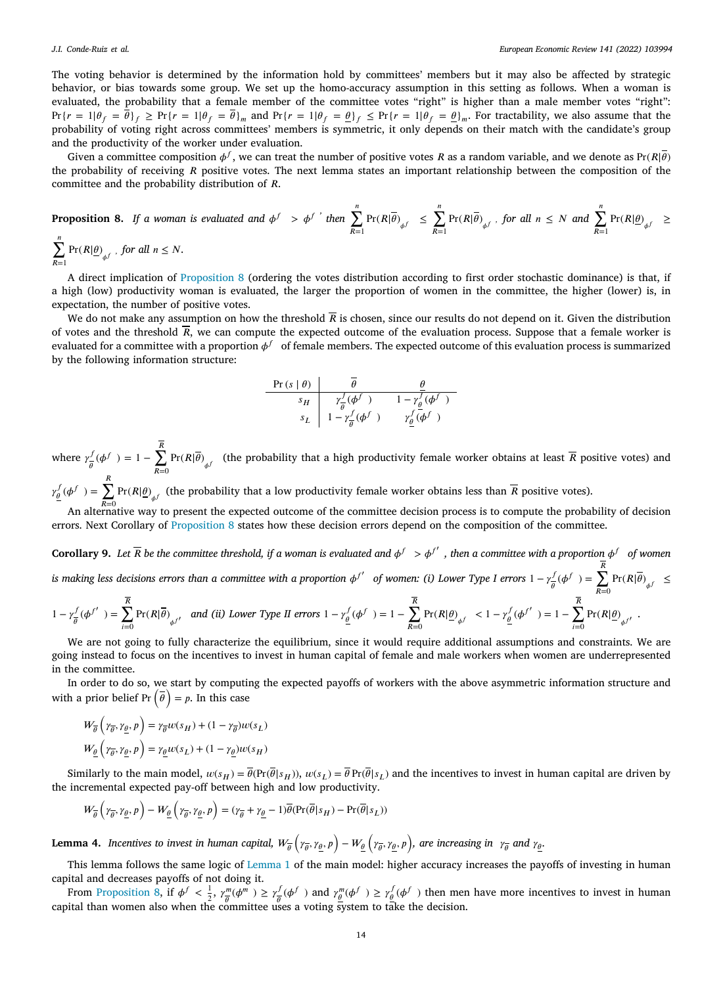The voting behavior is determined by the information hold by committees' members but it may also be affected by strategic behavior, or bias towards some group. We set up the homo-accuracy assumption in this setting as follows. When a woman is evaluated, the probability that a female member of the committee votes "right" is higher than a male member votes "right":  $Pr{r = 1 | \theta_f = \overline{\theta}_f} \geq Pr{r = 1 | \theta_f = \overline{\theta}_m}$  and  $Pr{r = 1 | \theta_f = \underline{\theta}_f} \leq Pr{r = 1 | \theta_f = \underline{\theta}_m}$ . For tractability, we also assume that the probability of voting right across committees' members is symmetric, it only depends on their match with the candidate's group and the productivity of the worker under evaluation.

Given a committee composition  $\phi^f$ , we can treat the number of positive votes R as a random variable, and we denote as Pr(R| $\overline{\theta}$ ) the probability of receiving  $R$  positive votes. The next lemma states an important relationship between the composition of the committee and the probability distribution of *.* 

<span id="page-13-0"></span>**Proposition 8.** If a woman is evaluated and 
$$
\phi^f > \phi^{f'}
$$
 then  $\sum_{R=1}^n \Pr(R|\overline{\theta})_{\phi^f} \le \sum_{R=1}^n \Pr(R|\overline{\theta})_{\phi^f}$ , for all  $n \le N$  and  $\sum_{R=1}^n \Pr(R|\underline{\theta})_{\phi^f} \ge \frac{n}{N}$ .

# $\sum_{n=1}^{\infty}$  $\sum_{R=1}$  Pr( $R|\underline{\theta})_{\phi^f}$ , for all  $n \leq N$ .

A direct implication of [Proposition](#page-13-0) [8](#page-13-0) (ordering the votes distribution according to first order stochastic dominance) is that, if a high (low) productivity woman is evaluated, the larger the proportion of women in the committee, the higher (lower) is, in expectation, the number of positive votes.

We do not make any assumption on how the threshold  $\overline{R}$  is chosen, since our results do not depend on it. Given the distribution of votes and the threshold  $\overline{R}$ , we can compute the expected outcome of the evaluation process. Suppose that a female worker is evaluated for a committee with a proportion  $\phi^f$  of female members. The expected outcome of this evaluation process is summarized by the following information structure:

$$
\begin{array}{c|cc}\n\Pr\left(s \mid \theta\right) & \overline{\theta} & \underline{\theta} \\
s_H & r_{\overline{\theta}}^f(\phi^f) & 1 - r_{\theta}^f(\phi^f) \\
s_L & 1 - r_{\overline{\theta}}^f(\phi^f) & r_{\underline{\theta}}^f(\phi^f)\n\end{array}
$$

where  $\gamma_{\overline{z}}^f$  $\frac{f}{\theta}(\phi^f) = 1 - \sum_{n=0}^R$  $\sum_{R=0}$  Pr( $R|\theta\rangle_{\phi}$  (the probability that a high productivity female worker obtains at least R positive votes) and  $\gamma_{\underline{\theta}}^f(\phi^f) = \sum_{i=1}^R \Pr(R|\underline{\theta})_{\phi^f}$  (the probability that a low productivity female worker obtains less than  $\overline{R}$  positive votes).

An alternative way to present the expected outcome of the committee decision process is to compute the probability of decision errors. Next Corollary of [Proposition](#page-13-0) [8](#page-13-0) states how these decision errors depend on the composition of the committee.

<span id="page-13-1"></span>**Corollary 9.** Let  $\overline{R}$  be the committee threshold, if a woman is evaluated and  $\phi^f > \phi^{f'}$ , then a committee with a proportion  $\phi^f$  of women *is making less decisions errors than a committee with a proportion*  $\phi^{f'}$  *of women: (i) Lower Type I errors* 1 −  $\gamma^f$  $\frac{f}{\theta}(\phi^f) = \sum_{n=0}^R$  $\sum_{R=0}$  Pr( $R|\overline{\theta}$ )<sub> $\phi$ f</sub>  $\leq$ 

$$
1 - \gamma_{\overline{\theta}}^f(\phi^{f'}) = \sum_{i=0}^{\overline{R}} \Pr(R|\overline{\theta})_{\phi^{f'}} \quad \text{and (ii) Lower Type II errors } 1 - \gamma_{\underline{\theta}}^f(\phi^{f'}) = 1 - \sum_{R=0}^{\overline{R}} \Pr(R|\underline{\theta})_{\phi^{f}} \le 1 - \gamma_{\underline{\theta}}^f(\phi^{f'}) = 1 - \sum_{i=0}^{\overline{R}} \Pr(R|\underline{\theta})_{\phi^{f'}}.
$$

We are not going to fully characterize the equilibrium, since it would require additional assumptions and constraints. We are going instead to focus on the incentives to invest in human capital of female and male workers when women are underrepresented in the committee.

In order to do so, we start by computing the expected payoffs of workers with the above asymmetric information structure and  $\overline{\phantom{a}}$ In order to do so, we start by compute<br>with a prior belief Pr  $(\bar{\theta}) = p$ . In this case

$$
W_{\overline{\theta}}\left(\gamma_{\overline{\theta}}, \gamma_{\underline{\theta}}, p\right) = \gamma_{\overline{\theta}} w(s_H) + (1 - \gamma_{\overline{\theta}}) w(s_L)
$$

$$
W_{\underline{\theta}}\left(\gamma_{\overline{\theta}}, \gamma_{\underline{\theta}}, p\right) = \gamma_{\underline{\theta}} w(s_L) + (1 - \gamma_{\underline{\theta}}) w(s_H)
$$

Similarly to the main model,  $w(s_H) = \overline{\theta}(\Pr(\overline{\theta}|s_H))$ ,  $w(s_I) = \overline{\theta} \Pr(\overline{\theta}|s_I)$  and the incentives to invest in human capital are driven by the incremental expected pay-off between high and low productivity.

$$
W_{\overline{\theta}}\left(\gamma_{\overline{\theta}}, \gamma_{\underline{\theta}}, p\right) - W_{\underline{\theta}}\left(\gamma_{\overline{\theta}}, \gamma_{\underline{\theta}}, p\right) = (\gamma_{\overline{\theta}} + \gamma_{\underline{\theta}} - 1)\overline{\theta}(\Pr(\overline{\theta}|s_H) - \Pr(\overline{\theta}|s_L))
$$

<span id="page-13-2"></span>Lemma 4. Incentives to invest in human capital,  $W_{\overline{\theta}}\left(\gamma_{\overline{\theta}},\gamma_{\underline{\theta}},p\right)-W_{\underline{\theta}}\left(\gamma_{\overline{\theta}},\gamma_{\underline{\theta}},p\right)$ , are increasing in  $\gamma_{\overline{\theta}}$  and  $\gamma_{\underline{\theta}}$ .

This lemma follows the same logic of [Lemma](#page-4-0) [1](#page-4-0) of the main model: higher accuracy increases the payoffs of investing in human capital and decreases payoffs of not doing it.

From [Proposition](#page-13-0) [8,](#page-13-0) if  $\phi^f < \frac{1}{2}$ ,  $\gamma_{\overline{\theta}}^m$  $\frac{m}{\theta}(\phi^m) \geq \gamma_{\overline{\theta}}^f$  $\int_{\theta}^{f} (\phi^f)$  and  $\gamma_{\underline{\theta}}^m (\phi^f) \geq \gamma_{\underline{\theta}}^f (\phi^f)$  then men have more incentives to invest in human capital than women also when the committee uses a voting system to take the decision.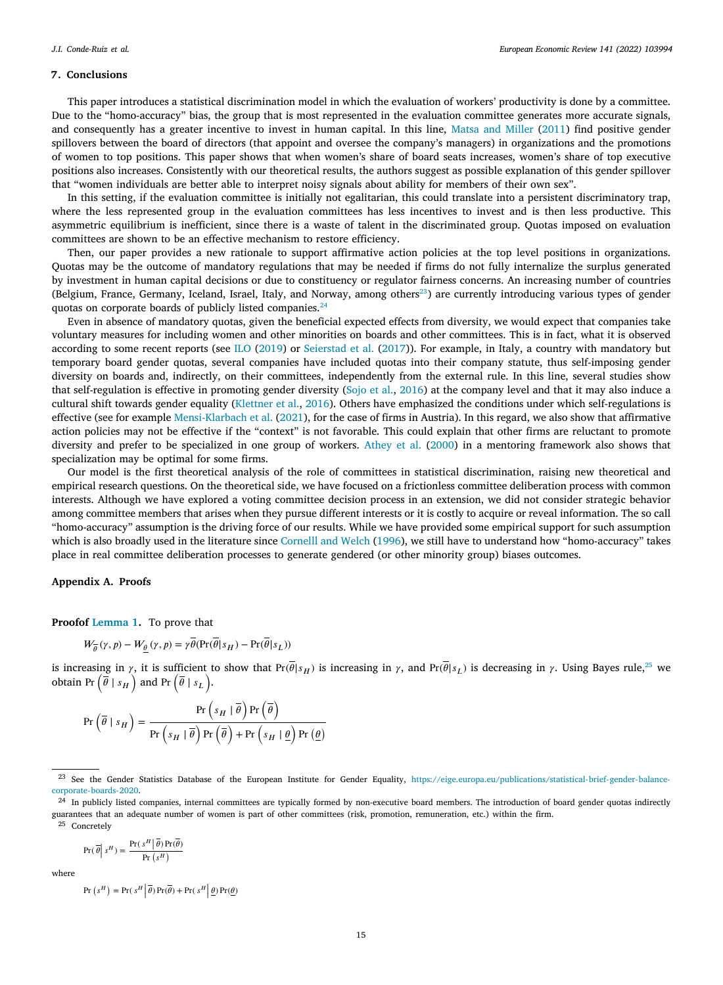### **7. Conclusions**

This paper introduces a statistical discrimination model in which the evaluation of workers' productivity is done by a committee. Due to the "homo-accuracy" bias, the group that is most represented in the evaluation committee generates more accurate signals, and consequently has a greater incentive to invest in human capital. In this line, [Matsa and Miller](#page-22-9) ([2011\)](#page-22-9) find positive gender spillovers between the board of directors (that appoint and oversee the company's managers) in organizations and the promotions of women to top positions. This paper shows that when women's share of board seats increases, women's share of top executive positions also increases. Consistently with our theoretical results, the authors suggest as possible explanation of this gender spillover that "women individuals are better able to interpret noisy signals about ability for members of their own sex".

In this setting, if the evaluation committee is initially not egalitarian, this could translate into a persistent discriminatory trap, where the less represented group in the evaluation committees has less incentives to invest and is then less productive. This asymmetric equilibrium is inefficient, since there is a waste of talent in the discriminated group. Quotas imposed on evaluation committees are shown to be an effective mechanism to restore efficiency.

Then, our paper provides a new rationale to support affirmative action policies at the top level positions in organizations. Quotas may be the outcome of mandatory regulations that may be needed if firms do not fully internalize the surplus generated by investment in human capital decisions or due to constituency or regulator fairness concerns. An increasing number of countries (Belgium, France, Germany, Iceland, Israel, Italy, and Norway, among others $^{23}$  $^{23}$  $^{23}$ ) are currently introducing various types of gender quotas on corporate boards of publicly listed companies.<sup>[24](#page-14-1)</sup>

<span id="page-14-1"></span><span id="page-14-0"></span>Even in absence of mandatory quotas, given the beneficial expected effects from diversity, we would expect that companies take voluntary measures for including women and other minorities on boards and other committees. This is in fact, what it is observed according to some recent reports (see [ILO](#page-21-16) ([2019\)](#page-21-16) or [Seierstad et al.](#page-22-33) ([2017\)](#page-22-33)). For example, in Italy, a country with mandatory but temporary board gender quotas, several companies have included quotas into their company statute, thus self-imposing gender diversity on boards and, indirectly, on their committees, independently from the external rule. In this line, several studies show that self-regulation is effective in promoting gender diversity ([Sojo et al.](#page-22-34), [2016\)](#page-22-34) at the company level and that it may also induce a cultural shift towards gender equality [\(Klettner et al.,](#page-22-35) [2016\)](#page-22-35). Others have emphasized the conditions under which self-regulations is effective (see for example [Mensi-Klarbach et al.](#page-22-36) ([2021\)](#page-22-36), for the case of firms in Austria). In this regard, we also show that affirmative action policies may not be effective if the "context" is not favorable. This could explain that other firms are reluctant to promote diversity and prefer to be specialized in one group of workers. [Athey et al.](#page-21-8) ([2000\)](#page-21-8) in a mentoring framework also shows that specialization may be optimal for some firms.

Our model is the first theoretical analysis of the role of committees in statistical discrimination, raising new theoretical and empirical research questions. On the theoretical side, we have focused on a frictionless committee deliberation process with common interests. Although we have explored a voting committee decision process in an extension, we did not consider strategic behavior among committee members that arises when they pursue different interests or it is costly to acquire or reveal information. The so call "homo-accuracy" assumption is the driving force of our results. While we have provided some empirical support for such assumption which is also broadly used in the literature since [Cornelll and Welch](#page-22-10) ([1996\)](#page-22-10), we still have to understand how "homo-accuracy" takes place in real committee deliberation processes to generate gendered (or other minority group) biases outcomes.

### **Appendix A. Proofs**

**Proofof [Lemma](#page-4-0) [1](#page-4-0).** To prove that

<span id="page-14-2"></span>
$$
W_{\overline{\theta}}(\gamma,p)-W_{\underline{\theta}}\left(\gamma,p\right)=\gamma\theta(\Pr(\theta|s_H)-\Pr(\theta|s_L))
$$

is increasing in  $\gamma$ , it is sufficient to show that  $Pr(\theta | s_H)$  is increasing in  $\gamma$ , and  $Pr(\theta | s_L)$  is decreasing in  $\gamma$ . Using Bayes rule,<sup>[25](#page-14-2)</sup> we s increasing in  $\gamma$ , it is sufficient to<br>obtain Pr  $(\bar{\theta} | s_H)$  and Pr  $(\bar{\theta} | s_L)$ .

$$
\Pr\left(\overline{\theta} \mid s_H\right) = \frac{\Pr\left(s_H \mid \overline{\theta}\right) \Pr\left(\overline{\theta}\right)}{\Pr\left(s_H \mid \overline{\theta}\right) \Pr\left(\overline{\theta}\right) + \Pr\left(s_H \mid \underline{\theta}\right) \Pr\left(\underline{\theta}\right)}
$$

$$
Pr(\overline{\theta} \mid s^H) = \frac{Pr(s^H | \overline{\theta}) Pr(\overline{\theta})}{Pr(s^H)}
$$

where

 $\overline{P}$ 

$$
\mathbf{r} \left( s^H \right) = \Pr \left( s^H \middle| \overline{\theta} \right) \Pr \left( \overline{\theta} \right) + \Pr \left( s^H \middle| \underline{\theta} \right) \Pr \left( \underline{\theta} \right)
$$

<sup>23</sup> See the Gender Statistics Database of the European Institute for Gender Equality, [https://eige.europa.eu/publications/statistical-brief-gender-balance](https://eige.europa.eu/publications/statistical-brief-gender-balance-corporate-boards-2020)[corporate-boards-2020](https://eige.europa.eu/publications/statistical-brief-gender-balance-corporate-boards-2020).

<sup>&</sup>lt;sup>24</sup> In publicly listed companies, internal committees are typically formed by non-executive board members. The introduction of board gender quotas indirectly guarantees that an adequate number of women is part of other committees (risk, promotion, remuneration, etc.) within the firm. <sup>25</sup> Concretely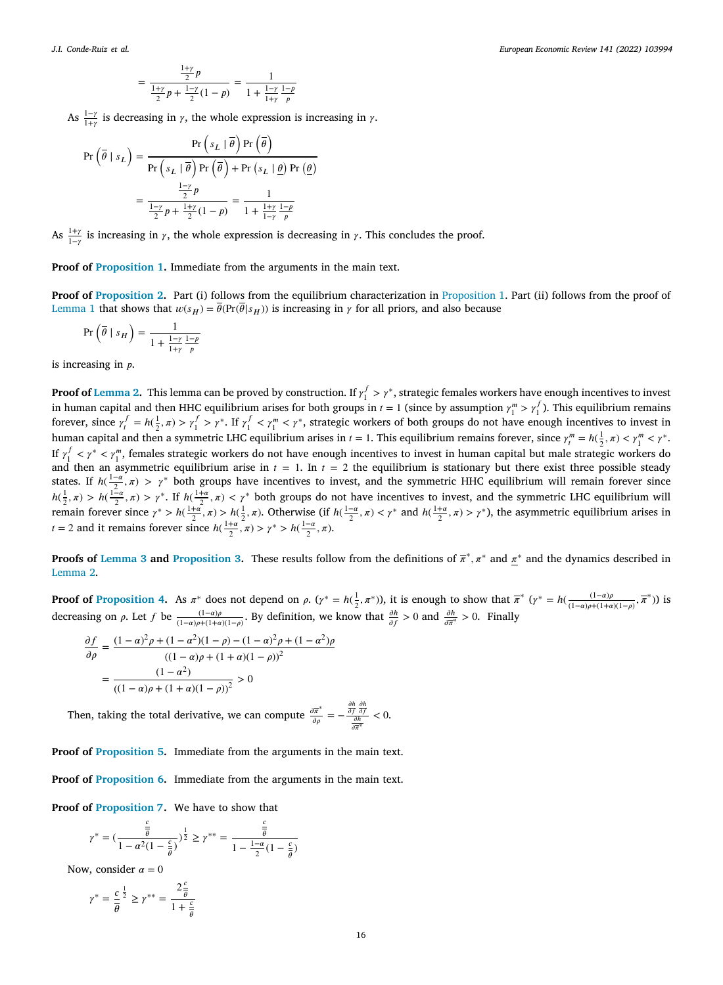$$
= \frac{\frac{1+\gamma}{2}p}{\frac{1+\gamma}{2}p + \frac{1-\gamma}{2}(1-p)} = \frac{1}{1 + \frac{1-\gamma}{1+\gamma}\frac{1-p}{p}}
$$

As  $\frac{1-\gamma}{1+\gamma}$  is decreasing in  $\gamma$ , the whole expression is increasing in  $\gamma$ .

$$
\Pr\left(\overline{\theta} \mid s_L\right) = \frac{\Pr\left(s_L \mid \overline{\theta}\right) \Pr\left(\overline{\theta}\right)}{\Pr\left(s_L \mid \overline{\theta}\right) \Pr\left(\overline{\theta}\right) + \Pr\left(s_L \mid \underline{\theta}\right) \Pr\left(\underline{\theta}\right)}
$$

$$
= \frac{\frac{1-\gamma}{2} p}{\frac{1-\gamma}{2} p + \frac{1+\gamma}{2} (1-p)} = \frac{1}{1 + \frac{1+\gamma}{1-\gamma} \frac{1-\rho}{p}}
$$

As  $\frac{1+\gamma}{1-\gamma}$  is increasing in  $\gamma$ , the whole expression is decreasing in  $\gamma$ . This concludes the proof.

**Proof of [Proposition](#page-5-2) [1](#page-5-2).** Immediate from the arguments in the main text.

**Proof of [Proposition](#page-7-4) [2](#page-7-4).** Part (i) follows from the equilibrium characterization in [Proposition](#page-5-2) [1](#page-5-2). Part (ii) follows from the proof of [Lemma](#page-4-0) [1](#page-4-0) that shows that  $w(s_H) = \overline{\theta}(\Pr(\overline{\theta}|s_H))$  is increasing in  $\gamma$  for all priors, and also because

$$
\Pr\left(\overline{\theta} \mid s_H\right) = \frac{1}{1 + \frac{1-\gamma}{1+\gamma} \frac{1-p}{p}}
$$

is increasing in  $p$ .

**Proof of [Lemma](#page-7-5) [2.](#page-7-5)** This lemma can be proved by construction. If  $\gamma_1^f > \gamma^*$ , strategic females workers have enough incentives to invest in human capital and then HHC equilibrium arises for both groups in  $t = 1$  (since by assumption  $\gamma_1^m > \gamma_1^f$ ). This equilibrium remains forever, since  $\gamma_t^f = h(\frac{1}{2}, \pi) > \gamma_1^f > \gamma^*$ . If  $\gamma_1^f < \gamma_1^m < \gamma^*$ , strategic workers of both groups do not have enough incentives to invest in human capital and then a symmetric LHC equilibrium arises in  $t = 1$ . This equilibrium remains forever, since  $\gamma_t^m = h(\frac{1}{2}, \pi) < \gamma_1^m < \gamma^*$ . If  $\gamma_1^f < \gamma^* < \gamma_1^m$ , females strategic workers do not have enough incentives to invest in human capital but male strategic workers do and then an asymmetric equilibrium arise in  $t = 1$ . In  $t = 2$  the equilibrium is stationary but there exist three possible steady states. If  $h(\frac{1-\alpha}{2}, \pi) > \gamma^*$  both groups have incentives to invest, and the symmetric HHC equilibrium will remain forever since  $h(\frac{1}{2}, \pi) > h(\frac{1-\alpha}{2}, \pi) > \gamma^*$ . If  $h(\frac{1+\alpha}{2}, \pi) < \gamma^*$  both groups do not have incentives to invest, and the symmetric LHC equilibrium will remain forever since  $\gamma^* > h(\frac{1+\alpha}{2}, \pi) > h(\frac{1}{2}, \pi)$ . Otherwise (if  $h(\frac{1-\alpha}{2}, \pi) < \gamma^*$  and  $h(\frac{1+\alpha}{2}, \pi) > \gamma^*$ ), the asymmetric equilibrium arises in *t* = 2 and it remains forever since  $h(\frac{1+\alpha}{2}, \pi) > \gamma^* > h(\frac{1-\alpha}{2}, \pi)$ .

**Proofs of [Lemma](#page-8-1) [3](#page-8-1) and** [Proposition](#page-8-2) [3.](#page-8-2) These results follow from the definitions of  $\bar{\pi}^*, \pi^*$  and  $\pi^*$  and the dynamics described in [Lemma](#page-7-5) [2.](#page-7-5)

**Proof of [Proposition](#page-10-1) [4.](#page-10-1)** As  $\pi^*$  does not depend on  $\rho$ .  $(\gamma^* = h(\frac{1}{2}, \pi^*))$ , it is enough to show that  $\overline{\pi}^* (\gamma^* = h(\frac{(1-a)\rho}{(1-a)\rho+(1+a)(1-\rho)}, \overline{\pi}^*))$  is decreasing on  $\rho$ . Let  $f$  be  $\frac{(1-a)\rho}{(1-a)\rho+(1+a)(1-\rho)}$ . By definition, we know that  $\frac{\partial h}{\partial f} > 0$  and  $\frac{\partial h}{\partial \overline{x}} > 0$ . Finally

$$
\frac{\partial f}{\partial \rho} = \frac{(1-\alpha)^2 \rho + (1-\alpha^2)(1-\rho) - (1-\alpha)^2 \rho + (1-\alpha^2)\rho}{((1-\alpha)\rho + (1+\alpha)(1-\rho))^2}
$$

$$
= \frac{(1-\alpha^2)}{((1-\alpha)\rho + (1+\alpha)(1-\rho))^2} > 0
$$

Then, taking the total derivative, we can compute  $\frac{\partial \overline{\pi}^*}{\partial \rho} = -\frac{\frac{\partial h}{\partial f} \frac{\partial h}{\partial f}}{\frac{\partial h}{\partial \overline{\pi}^*}} < 0.$ 

**Proof of [Proposition](#page-10-2) [5](#page-10-2).** Immediate from the arguments in the main text.

**Proof of [Proposition](#page-12-2) [6](#page-12-2).** Immediate from the arguments in the main text.

**Proof of [Proposition](#page-12-3) [7](#page-12-3).** We have to show that

$$
\gamma^*=(\frac{\frac{c}{\bar{\theta}}}{1-\alpha^2(1-\frac{c}{\bar{\theta}})})^{\frac{1}{2}}\geq \gamma^{**}=\frac{\frac{c}{\bar{\theta}}}{1-\frac{1-\alpha}{2}(1-\frac{c}{\bar{\theta}})}
$$

Now, consider  $\alpha = 0$ 

$$
\gamma^* = \frac{c}{\overline{\theta}}^{\frac{1}{2}} \geq \gamma^{**} = \frac{2\frac{c}{\overline{\theta}}}{1+\frac{c}{\overline{\theta}}}
$$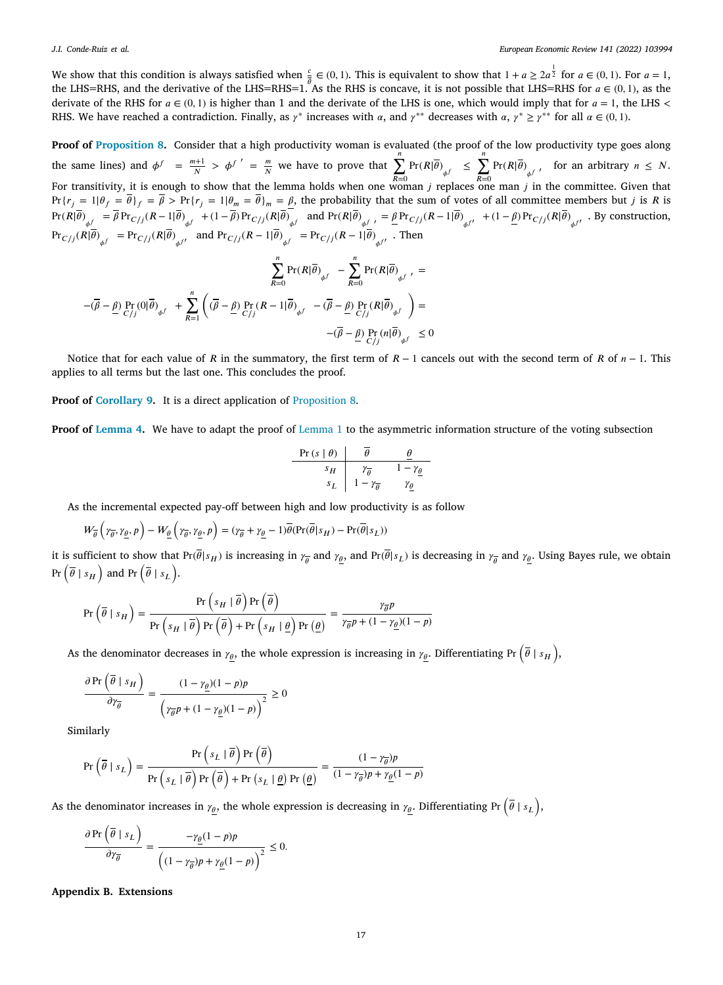We show that this condition is always satisfied when  $\frac{c}{\theta} \in (0,1)$ . This is equivalent to show that  $1 + a \ge 2a^{\frac{1}{2}}$  for  $a \in (0,1)$ . For  $a = 1$ , the LHS=RHS, and the derivative of the LHS=RHS=1. As the RHS is concave, it is not possible that LHS=RHS for  $a \in (0, 1)$ , as the derivate of the RHS for  $a \in (0, 1)$  is higher than 1 and the derivate of the LHS is one, which would imply that for  $a = 1$ , the LHS < RHS. We have reached a contradiction. Finally, as  $\gamma^*$  increases with  $\alpha$ , and  $\gamma^{**}$  decreases with  $\alpha$ ,  $\gamma^* \ge \gamma^{**}$  for all  $\alpha \in (0, 1)$ .

**Proof of [Proposition](#page-13-0) [8](#page-13-0).** Consider that a high productivity woman is evaluated (the proof of the low productivity type goes along the same lines) and  $\phi^f = \frac{m+1}{N} > \phi^{f'} = \frac{m}{N}$  we have to prove that  $\sum^n$  $\sum_{R=0}^{n} \Pr(R|\overline{\theta})_{\phi} \leq \sum_{R=0}^{n}$  $\sum_{R=0} \Pr(R|\overline{\theta})_{\phi}$  for an arbitrary  $n \leq N$ . For transitivity, it is enough to show that the lemma holds when one woman  $j$  replaces one man  $j$  in the committee. Given that  $Pr{r_i = 1 | \theta_f = \overline{\theta}} = Pr{r_i = 1 | \theta_m = \overline{\theta}}_m = \beta$ , the probability that the sum of votes of all committee members but *j* is *R* is  $Pr(R|\theta)_{\phi}$  =  $\beta Pr_{C/j}(R-1|\theta)_{\phi}$  + (1 –  $\beta Pr_{C/j}(R|\theta)_{\phi}$  and  $Pr(R|\theta)_{\phi}$  , =  $\underline{\beta Pr}_{C/j}(R-1|\theta)_{\phi}$  + (1 –  $\underline{\beta Pr}_{C/j}(R|\theta)_{\phi}$  . By construction,  $Pr_{C/j}(R|\theta)_{\phi f} = Pr_{C/j}(R|\theta)_{\phi f'}$  and  $Pr_{C/j}(R-1|\theta)_{\phi f} = Pr_{C/j}(R-1|\theta)_{\phi f'}$ . Then

$$
\sum_{R=0}^{n} \Pr(R|\overline{\theta})_{\phi^{f}} - \sum_{R=0}^{n} \Pr(R|\overline{\theta})_{\phi^{f}} =
$$
  

$$
-(\overline{\beta} - \underline{\beta}) \Pr(\beta|\overline{\theta})_{\phi^{f}} + \sum_{R=1}^{n} \left( (\overline{\beta} - \underline{\beta}) \Pr(R - 1|\overline{\theta})_{\phi^{f}} - (\overline{\beta} - \underline{\beta}) \Pr(R|\overline{\theta})_{\phi^{f}} \right) =
$$
  

$$
-(\overline{\beta} - \underline{\beta}) \Pr(R|\overline{\theta})_{\phi^{f}} \le 0
$$

Notice that for each value of R in the summatory, the first term of  $R - 1$  cancels out with the second term of R of  $n - 1$ . This applies to all terms but the last one. This concludes the proof.

**Proof of [Corollary](#page-13-1) [9.](#page-13-1)** It is a direct application of [Proposition](#page-13-0) [8.](#page-13-0)

**Proof of [Lemma](#page-13-2) [4.](#page-13-2)** We have to adapt the proof of [Lemma](#page-4-0) [1](#page-4-0) to the asymmetric information structure of the voting subsection

| Pr(s   \theta) | $\overline{\theta}$              | $\underline{\theta}$              |
|----------------|----------------------------------|-----------------------------------|
| $s_H$          | $\gamma_{\overline{\theta}}$     | $1 - \gamma_{\underline{\theta}}$ |
| $s_L$          | $1 - \gamma_{\overline{\theta}}$ | $\gamma_{\underline{\theta}}$     |

As the incremental expected pay-off between high and low productivity is as follow

$$
W_{\overline{\theta}}\left(\gamma_{\overline{\theta}}, \gamma_{\underline{\theta}}, p\right) - W_{\underline{\theta}}\left(\gamma_{\overline{\theta}}, \gamma_{\underline{\theta}}, p\right) = (\gamma_{\overline{\theta}} + \gamma_{\underline{\theta}} - 1)\overline{\theta}(\Pr(\overline{\theta}|s_H) - \Pr(\overline{\theta}|s_L))
$$

it is sufficient to show that  $Pr(\theta | s_H)$  is increasing in  $\gamma_{\overline{\theta}}$  and  $\gamma_{\underline{\theta}}$ , and  $Pr(\theta | s_L)$  is decreasing in  $\gamma_{\overline{\theta}}$  and  $\gamma_{\underline{\theta}}$ . Using Bayes rule, we obtain Pr  $(\bar{\theta} | s_H)$  and Pr  $(\bar{\theta} | s_L)$ .

$$
\Pr\left(\overline{\theta} \mid s_H\right) = \frac{\Pr\left(s_H \mid \overline{\theta}\right) \Pr\left(\overline{\theta}\right)}{\Pr\left(s_H \mid \overline{\theta}\right) \Pr\left(\overline{\theta}\right) + \Pr\left(s_H \mid \underline{\theta}\right) \Pr\left(\underline{\theta}\right)} = \frac{\gamma_{\overline{\theta}} p}{\gamma_{\overline{\theta}} p + (1 - \gamma_{\underline{\theta}})(1 - p)}
$$

As the denominator decreases in  $\gamma_\theta$ , the whole expression is increasing in  $\gamma_\theta$ . Differentiating Pr  $(\bar{\theta} \mid s_H)$ ,

$$
\frac{\partial \Pr\left(\overline{\theta} \mid s_H\right)}{\partial \gamma_{\overline{\theta}}} = \frac{(1 - \gamma_{\underline{\theta}})(1 - p)p}{\left(\gamma_{\overline{\theta}} p + (1 - \gamma_{\underline{\theta}})(1 - p)\right)^2} \ge 0
$$

Similarly

$$
\Pr\left(\overline{\theta} \mid s_L\right) = \frac{\Pr\left(s_L | \overline{\theta}\right) \Pr\left(\overline{\theta}\right)}{\Pr\left(s_L | \overline{\theta}\right) \Pr\left(\overline{\theta}\right) + \Pr\left(s_L | \underline{\theta}\right) \Pr\left(\underline{\theta}\right)} = \frac{(1 - \gamma_{\overline{\theta}})p}{(1 - \gamma_{\overline{\theta}})p + \gamma_{\underline{\theta}}(1 - p)}
$$

As the denominator increases in  $\gamma_\theta$ , the whole expression is decreasing in  $\gamma_\theta$ . Differentiating Pr  $(\bar{\theta} \mid s_L)$ ,

$$
\frac{\partial \Pr\left(\overline{\theta} \mid s_L\right)}{\partial \gamma_{\overline{\theta}}} = \frac{-\gamma_{\underline{\theta}}(1-p)p}{\left((1-\gamma_{\overline{\theta}})p + \gamma_{\underline{\theta}}(1-p)\right)^2} \le 0.
$$

**Appendix B. Extensions**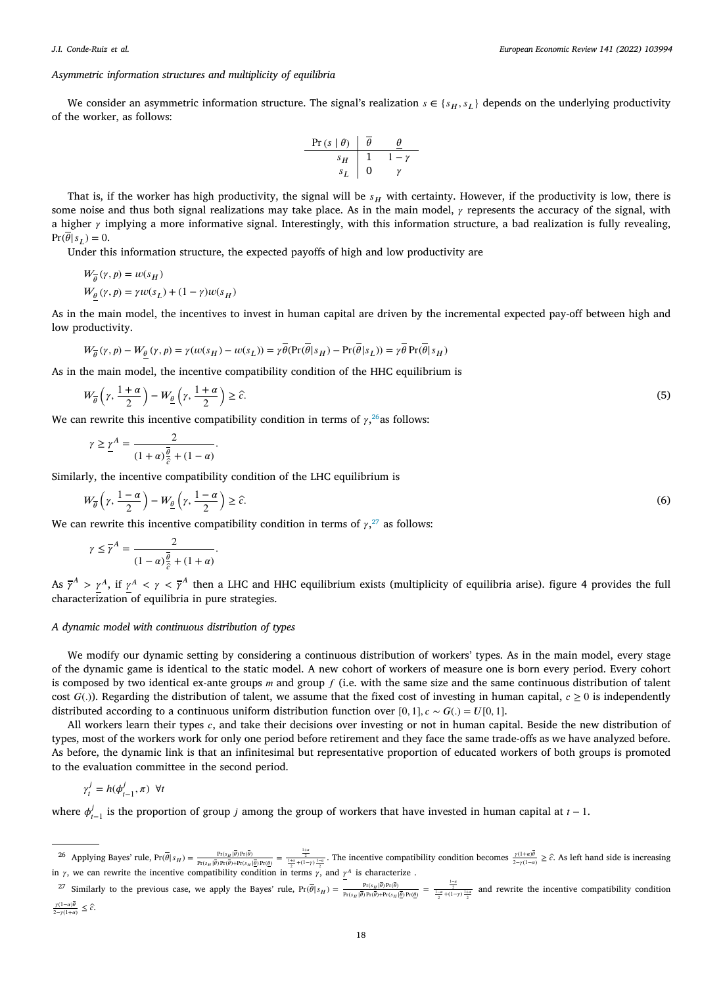# *Asymmetric information structures and multiplicity of equilibria*

We consider an asymmetric information structure. The signal's realization  $s \in \{s_H, s_L\}$  depends on the underlying productivity of the worker, as follows:

| Pr(s   \theta) | $\overline{\theta}$ | $\theta$ |
|----------------|---------------------|----------|
| $s_H$          | 1                   | 1-\gamma |
| $s_L$          | 0                   | \gamma   |

That is, if the worker has high productivity, the signal will be  $s_H$  with certainty. However, if the productivity is low, there is some noise and thus both signal realizations may take place. As in the main model,  $\gamma$  represents the accuracy of the signal, with a higher  $\gamma$  implying a more informative signal. Interestingly, with this information structure, a bad realization is fully revealing,  $Pr(\overline{\theta}|s_L) = 0.$ 

Under this information structure, the expected payoffs of high and low productivity are

$$
W_{\overline{\theta}}(\gamma, p) = w(s_H)
$$
  
 
$$
W_{\theta}(\gamma, p) = \gamma w(s_L) + (1 - \gamma)w(s_H)
$$

As in the main model, the incentives to invest in human capital are driven by the incremental expected pay-off between high and low productivity.

$$
W_{\overline{\theta}}(\gamma, p) - W_{\underline{\theta}}(\gamma, p) = \gamma(w(s_H) - w(s_L)) = \gamma \overline{\theta}(\Pr(\overline{\theta}|s_H) - \Pr(\overline{\theta}|s_L)) = \gamma \overline{\theta} \Pr(\overline{\theta}|s_H)
$$

As in the main model, the incentive compatibility condition of the HHC equilibrium is

$$
W_{\overline{\theta}}\left(\gamma,\frac{1+\alpha}{2}\right)-W_{\underline{\theta}}\left(\gamma,\frac{1+\alpha}{2}\right)\geq\hat{c}.\tag{5}
$$

We can rewrite this incentive compatibility condition in terms of  $\gamma$ ,  $^{26}$  $^{26}$  $^{26}$  as follows:

<span id="page-17-0"></span>
$$
\gamma \geq \underline{\gamma}^A = \frac{2}{(1+\alpha)\frac{\overline{\theta}}{\hat{c}} + (1-\alpha)}.
$$

Similarly, the incentive compatibility condition of the LHC equilibrium is

$$
W_{\overline{\theta}}\left(\gamma,\frac{1-\alpha}{2}\right)-W_{\underline{\theta}}\left(\gamma,\frac{1-\alpha}{2}\right)\geq\widehat{c}.\tag{6}
$$

We can rewrite this incentive compatibility condition in terms of  $\gamma$ ,<sup>[27](#page-17-1)</sup> as follows:

<span id="page-17-1"></span>
$$
\gamma \leq \overline{\gamma}^A = \frac{2}{(1-\alpha)\frac{\overline{\theta}}{\hat{c}} + (1+\alpha)}.
$$

As  $\bar{\gamma}^A > \gamma^A$ , if  $\gamma^A < \gamma < \bar{\gamma}^A$  then a LHC and HHC equilibrium exists (multiplicity of equilibria arise). figure 4 provides the full characterization of equilibria in pure strategies.

# *A dynamic model with continuous distribution of types*

We modify our dynamic setting by considering a continuous distribution of workers' types. As in the main model, every stage of the dynamic game is identical to the static model. A new cohort of workers of measure one is born every period. Every cohort is composed by two identical ex-ante groups  $m$  and group  $f$  (i.e. with the same size and the same continuous distribution of talent cost  $G(.)$ ). Regarding the distribution of talent, we assume that the fixed cost of investing in human capital,  $c \ge 0$  is independently distributed according to a continuous uniform distribution function over [0, 1],  $c \sim G(.) = U[0, 1]$ .

All workers learn their types  $c$ , and take their decisions over investing or not in human capital. Beside the new distribution of types, most of the workers work for only one period before retirement and they face the same trade-offs as we have analyzed before. As before, the dynamic link is that an infinitesimal but representative proportion of educated workers of both groups is promoted to the evaluation committee in the second period.

$$
\gamma_t^j = h(\phi_{t-1}^j, \pi) \ \forall t
$$

where  $\phi_{t-1}^j$  is the proportion of group *j* among the group of workers that have invested in human capital at  $t-1$ .

```
\frac{\gamma(1-\alpha)\theta}{2-\gamma(1+\alpha)} \leq \hat{c}.
```
<sup>&</sup>lt;sup>26</sup> Applying Bayes' rule, Pr( $\bar{\theta}|s_H$ ) =  $\frac{Pr(s_H|\bar{\theta})Pr(\bar{\theta})}{Pr(s_H|\bar{\theta})Pr(\bar{\theta})+Pr(s_H|\bar{\theta})Pr(\theta)} = \frac{\frac{1+\alpha}{2}}{\frac{1+\alpha}{2}+(1-\gamma)\frac{1-\alpha}{2}}$ . The incentive compatibility condition becomes  $\frac{\gamma(1+\alpha)\bar{\theta}}{2-\gamma(1-\alpha)} \geq \hat{c}$ . As left hand si in  $\gamma$ , we can rewrite the incentive compatibility condition in terms  $\gamma$ , and  $\gamma^A$  is characterize.

<sup>&</sup>lt;sup>27</sup> Similarly to the previous case, we apply the Bayes' rule,  $Pr(\overline{\theta}|s_H) = \frac{Pr(s_H|\overline{\theta})Pr(\overline{\theta})}{Pr(s_H|\overline{\theta})Pr(\overline{\theta})} = \frac{\frac{1-\alpha}{2}}{\frac{2}{2}+(1-\gamma)\frac{1+\alpha}{2}}$  and rewrite the incentive compatibility condition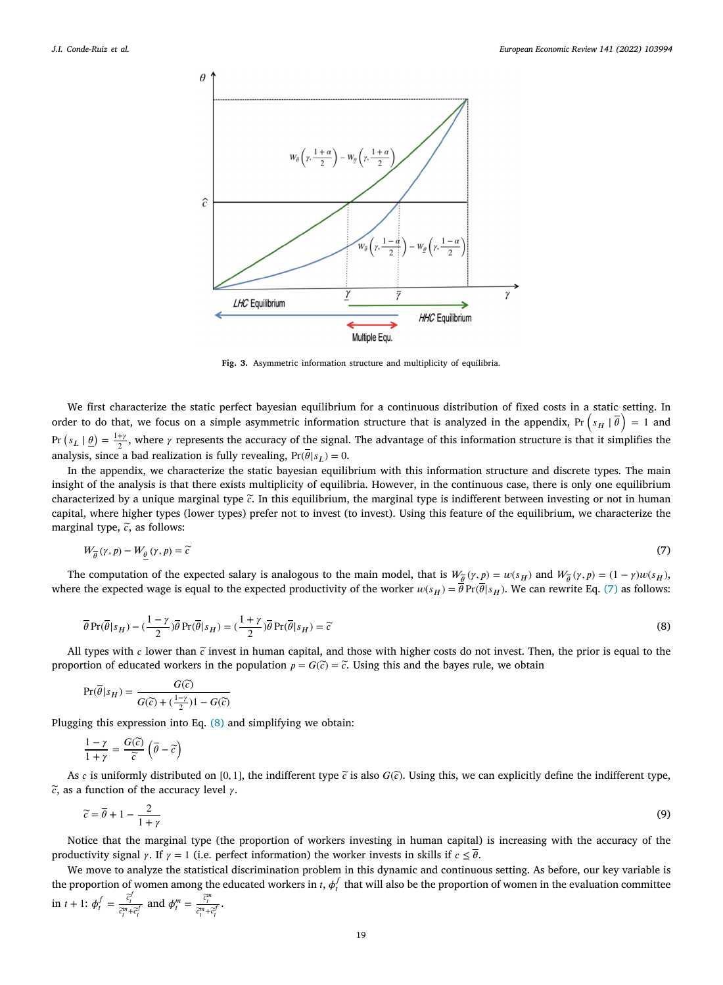

<span id="page-18-1"></span><span id="page-18-0"></span>**Fig. 3.** Asymmetric information structure and multiplicity of equilibria.

<span id="page-18-2"></span>We first characterize the static perfect bayesian equilibrium for a continuous distribution of fixed costs in a static setting. In order to do that, we focus on a simple asymmetric information structure that is analyzed in the appendix,  $Pr(S_H | \vec{\theta}) = 1$  and order to do that, we focus on a simple asymmetric information structure that is analyzed in the Pr  $(s_L | \theta) = \frac{1+y}{2}$ , where  $\gamma$  represents the accuracy of the signal. The advantage of this information structure is that it simplifies the analysis, since a bad realization is fully revealing,  $Pr(\overline{\theta}|s_L) = 0$ .

In the appendix, we characterize the static bayesian equilibrium with this information structure and discrete types. The main insight of the analysis is that there exists multiplicity of equilibria. However, in the continuous case, there is only one equilibrium characterized by a unique marginal type *̃*. In this equilibrium, the marginal type is indifferent between investing or not in human capital, where higher types (lower types) prefer not to invest (to invest). Using this feature of the equilibrium, we characterize the marginal type,  $\tilde{c}$ , as follows:

$$
W_{\overline{\theta}}(\gamma, p) - W_{\underline{\theta}}(\gamma, p) = \widetilde{c}
$$
\n<sup>(7)</sup>

The computation of the expected salary is analogous to the main model, that is  $W_{\overline{\theta}}(\gamma, p) = w(s_H)$  and  $W_{\overline{\theta}}(\gamma, p) = (1 - \gamma)w(s_H)$ , where the expected wage is equal to the expected productivity of the worker  $w(s_H) = \overline{\theta} \Pr(\overline{\theta}|s_H)$ . We can rewrite Eq. ([7](#page-18-0)) as follows:

$$
\overline{\theta} \Pr(\overline{\theta}|s_H) - (\frac{1-\gamma}{2})\overline{\theta} \Pr(\overline{\theta}|s_H) = (\frac{1+\gamma}{2})\overline{\theta} \Pr(\overline{\theta}|s_H) = \widetilde{c}
$$
\n(8)

All types with  $c$  lower than  $\tilde{c}$  invest in human capital, and those with higher costs do not invest. Then, the prior is equal to the proportion of educated workers in the population  $p = G(\tilde{c}) = \tilde{c}$ . Using this and the bayes rule, we obtain

$$
\Pr(\overline{\theta}|s_H) = \frac{G(\widetilde{c})}{G(\widetilde{c}) + (\frac{1-\gamma}{2})1 - G(\widetilde{c})}
$$

Plugging this expression into Eq. [\(8\)](#page-18-1) and simplifying we obtain:

$$
\frac{1-\gamma}{1+\gamma} = \frac{G(\widetilde{c})}{\widetilde{c}}\left(\overline{\theta} - \widetilde{c}\right)
$$

As c is uniformly distributed on [0, 1], the indifferent type  $\tilde{c}$  is also  $G(\tilde{c})$ . Using this, we can explicitly define the indifferent type,  $\tilde{c}$ , as a function of the accuracy level  $\gamma$ .

<span id="page-18-3"></span>
$$
\widetilde{c} = \overline{\theta} + 1 - \frac{2}{1 + \gamma} \tag{9}
$$

Notice that the marginal type (the proportion of workers investing in human capital) is increasing with the accuracy of the productivity signal  $\gamma$ . If  $\gamma = 1$  (i.e. perfect information) the worker invests in skills if  $c \leq \overline{\theta}$ .

We move to analyze the statistical discrimination problem in this dynamic and continuous setting. As before, our key variable is the proportion of women among the educated workers in  $t$ ,  $\phi_t^f$  that will also be the proportion of women in the evaluation committee in  $t + 1$ :  $\phi_t^f = \frac{\tilde{c}_t^f}{\tilde{c}_t^m + \tilde{c}_t^f}$  and  $\phi_t^m = \frac{\tilde{c}_t^m}{\tilde{c}_t^m + \tilde{c}_t^f}$ .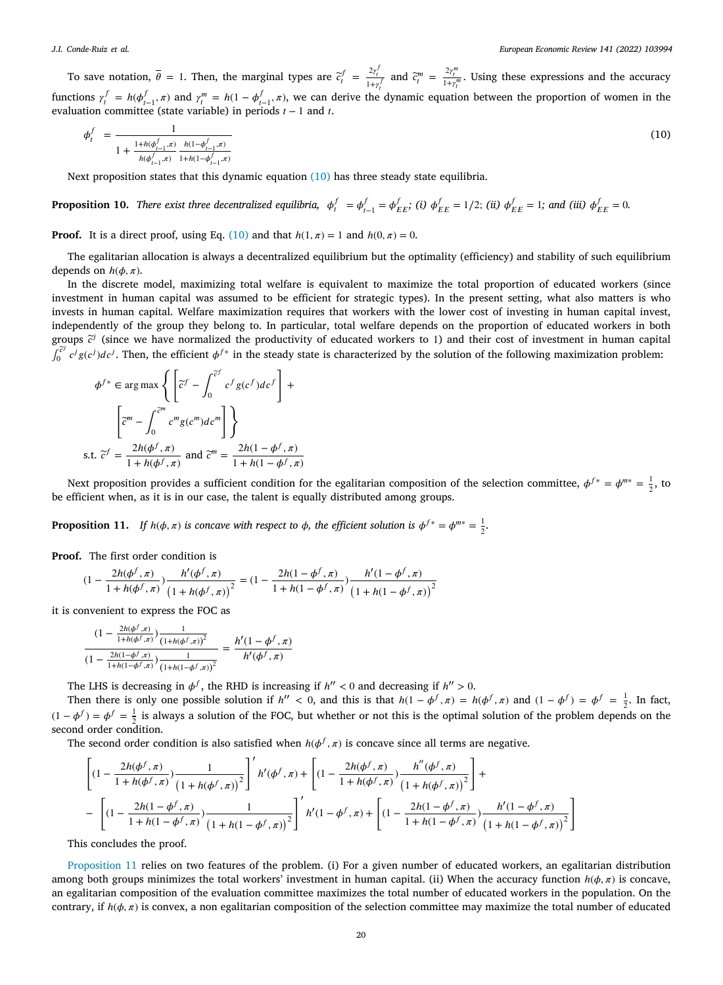#### *J.I. Conde-Ruiz et al.*

To save notation,  $\overline{\theta} = 1$ . Then, the marginal types are  $\overline{c}_t^f = \frac{2\gamma_t^f}{1+\gamma_t^f}$  and  $\overline{c}_t^m = \frac{2\gamma_t^m}{1+\gamma_t^m}$ . Using these expressions and the accuracy functions  $\gamma_t^f = h(\phi_{t-1}^f, \pi)$  and  $\gamma_t^m = h(1 - \phi_{t-1}^f, \pi)$ , we can derive the dynamic equation between the proportion of women in the evaluation committee (state variable) in periods  $t - 1$  and  $t$ .

<span id="page-19-0"></span>
$$
\phi_t^f = \frac{1}{1 + \frac{1 + h(\phi_{t-1}^f, \pi)}{h(\phi_{t-1}^f, \pi)} \frac{h(1 - \phi_{t-1}^f, \pi)}{1 + h(1 - \phi_{t-1}^f, \pi)}}
$$
(10)

Next proposition states that this dynamic equation ([10\)](#page-19-0) has three steady state equilibria.

**Proposition 10.** There exist three decentralized equilibria,  $\phi_t^f = \phi_{t-1}^f = \phi_{EE}^f$ ; (i)  $\phi_{EE}^f = 1/2$ ; (ii)  $\phi_{EE}^f = 1$ ; and (iii)  $\phi_{EE}^f = 0$ .

**Proof.** It is a direct proof, using Eq. [\(10](#page-19-0)) and that  $h(1, \pi) = 1$  and  $h(0, \pi) = 0$ .

The egalitarian allocation is always a decentralized equilibrium but the optimality (efficiency) and stability of such equilibrium depends on  $h(\phi, \pi)$ .

In the discrete model, maximizing total welfare is equivalent to maximize the total proportion of educated workers (since investment in human capital was assumed to be efficient for strategic types). In the present setting, what also matters is who invests in human capital. Welfare maximization requires that workers with the lower cost of investing in human capital invest, independently of the group they belong to. In particular, total welfare depends on the proportion of educated workers in both groups  $\tilde{c}^j$  (since we have normalized the productivity of educated workers to 1) and their cost of investment in human capital ∫ *̃*  $\int_0^{c} c^j g(c^j) dc^j$ . Then, the efficient  $\phi^{f*}$  in the steady state is characterized by the solution of the following maximization problem:

$$
\phi^{f*} \in \arg \max \left\{ \left[ \tilde{c}^f - \int_0^{\tilde{c}^f} c^f g(c^f) dc^f \right] + \left[ \tilde{c}^m - \int_0^{\tilde{c}^m} c^m g(c^m) dc^m \right] \right\}
$$
  
s.t.  $\tilde{c}^f = \frac{2h(\phi^f, \pi)}{1 + h(\phi^f, \pi)}$  and  $\tilde{c}^m = \frac{2h(1 - \phi^f, \pi)}{1 + h(1 - \phi^f, \pi)}$ 

Next proposition provides a sufficient condition for the egalitarian composition of the selection committee,  $\phi^{f*} = \phi^{m*} = \frac{1}{2}$ , to be efficient when, as it is in our case, the talent is equally distributed among groups.

<span id="page-19-1"></span>**Proposition 11.** *If*  $h(\phi, \pi)$  *is concave with respect to*  $\phi$ *, the efficient solution is*  $\phi^{f*} = \phi^{m*} = \frac{1}{2}$ *.* 

**Proof.** The first order condition is

$$
(1 - \frac{2h(\phi^f, \pi)}{1 + h(\phi^f, \pi)}) \frac{h'(\phi^f, \pi)}{\left(1 + h(\phi^f, \pi)\right)^2} = (1 - \frac{2h(1 - \phi^f, \pi)}{1 + h(1 - \phi^f, \pi)}) \frac{h'(1 - \phi^f, \pi)}{\left(1 + h(1 - \phi^f, \pi)\right)^2}
$$

it is convenient to express the FOC as

$$
\frac{(1-\frac{2h(\phi^f,\pi)}{1+h(\phi^f,\pi)})\frac{1}{(1+h(\phi^f,\pi))^2}}{(1-\frac{2h(1-\phi^f,\pi)}{1+h(1-\phi^f,\pi)})\frac{1}{(1+h(1-\phi^f,\pi))^2}} = \frac{h'(1-\phi^f,\pi)}{h'(\phi^f,\pi)}
$$

The LHS is decreasing in  $\phi^f$ , the RHD is increasing if  $h'' < 0$  and decreasing if  $h'' > 0$ .

Then there is only one possible solution if  $h'' < 0$ , and this is that  $h(1 - \phi^f, \pi) = h(\phi^f, \pi)$  and  $(1 - \phi^f) = \phi^f = \frac{1}{2}$ . In fact, (1 –  $\phi^f$ ) =  $\phi^f = \frac{1}{2}$  is always a solution of the FOC, but whether or not this is the optimal solution of the problem depends on the second order condition.

The second order condition is also satisfied when  $h(\phi^f, \pi)$  is concave since all terms are negative.

$$
\begin{aligned}&\left[ (1-\frac{2h(\phi^f,\pi)}{1+h(\phi^f,\pi)})\frac{1}{\left(1+h(\phi^f,\pi)\right)^2} \right]'h'(\phi^f,\pi) + \left[ (1-\frac{2h(\phi^f,\pi)}{1+h(\phi^f,\pi)})\frac{h''(\phi^f,\pi)}{\left(1+h(\phi^f,\pi)\right)^2} \right] + \\& - \left[ (1-\frac{2h(1-\phi^f,\pi)}{1+h(1-\phi^f,\pi)})\frac{1}{\left(1+h(1-\phi^f,\pi)\right)^2} \right]'h'(1-\phi^f,\pi) + \left[ (1-\frac{2h(1-\phi^f,\pi)}{1+h(1-\phi^f,\pi)})\frac{h'(1-\phi^f,\pi)}{\left(1+h(1-\phi^f,\pi)\right)^2} \right] \end{aligned}
$$

This concludes the proof.

[Proposition](#page-19-1) [11](#page-19-1) relies on two features of the problem. (i) For a given number of educated workers, an egalitarian distribution among both groups minimizes the total workers' investment in human capital. (ii) When the accuracy function  $h(\phi, \pi)$  is concave, an egalitarian composition of the evaluation committee maximizes the total number of educated workers in the population. On the contrary, if  $h(\phi, \pi)$  is convex, a non egalitarian composition of the selection committee may maximize the total number of educated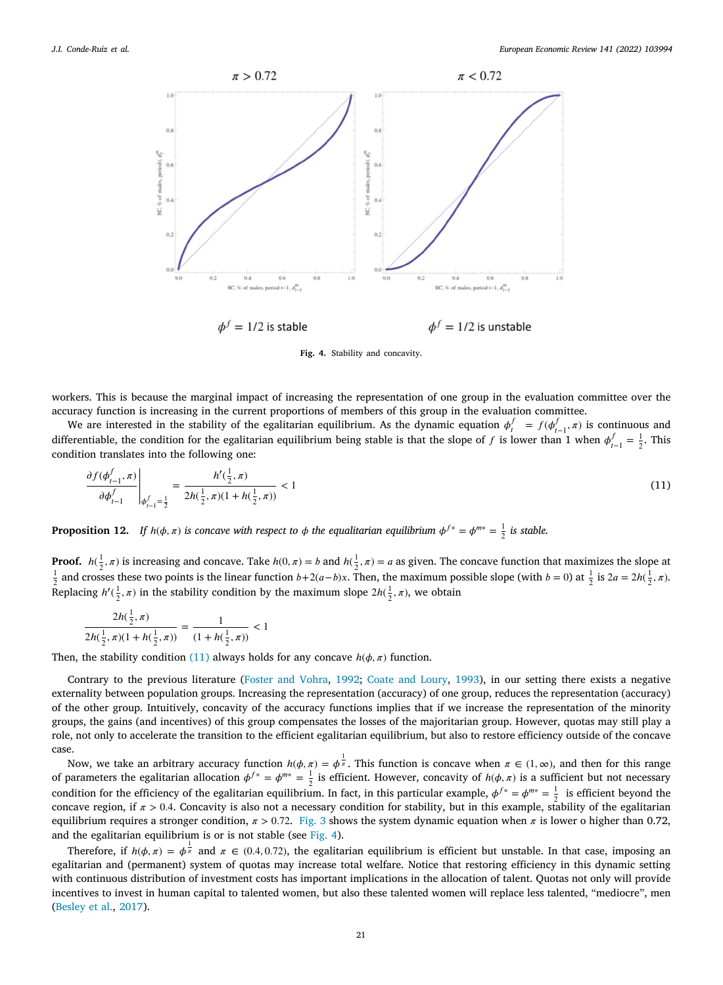

<span id="page-20-0"></span>**Fig. 4.** Stability and concavity.

<span id="page-20-1"></span>workers. This is because the marginal impact of increasing the representation of one group in the evaluation committee over the accuracy function is increasing in the current proportions of members of this group in the evaluation committee.

We are interested in the stability of the egalitarian equilibrium. As the dynamic equation  $\phi_t^f = f(\phi_{t-1}^f, \pi)$  is continuous and differentiable, the condition for the egalitarian equilibrium being stable is that the slope of f is lower than 1 when  $\phi_{t-1}^f = \frac{1}{2}$ . This condition translates into the following one:

$$
\frac{\partial f(\phi_{t-1}^f, \pi)}{\partial \phi_{t-1}^f} \bigg|_{\phi_{t-1}^f = \frac{1}{2}} = \frac{h'(\frac{1}{2}, \pi)}{2h(\frac{1}{2}, \pi)(1 + h(\frac{1}{2}, \pi))} < 1\tag{11}
$$

**Proposition 12.** If  $h(\phi, \pi)$  is concave with respect to  $\phi$  the equalitarian equilibrium  $\phi^{f*} = \phi^{m*} = \frac{1}{2}$  is stable.

**Proof.**  $h(\frac{1}{2}, \pi)$  is increasing and concave. Take  $h(0, \pi) = b$  and  $h(\frac{1}{2}, \pi) = a$  as given. The concave function that maximizes the slope at  $\frac{1}{2}$  and crosses these two points is the linear function  $b+2(a-b)x$ . Then, the maximum possible slope (with  $b = 0$ ) at  $\frac{1}{2}$  is  $2a = 2h(\frac{1}{2}, \pi)$ . Replacing  $h'(\frac{1}{2}, \pi)$  in the stability condition by the maximum slope  $2h(\frac{1}{2}, \pi)$ , we obtain

$$
\frac{2h(\frac{1}{2},\pi)}{2h(\frac{1}{2},\pi)(1+h(\frac{1}{2},\pi))} = \frac{1}{(1+h(\frac{1}{2},\pi))} < 1
$$

Then, the stability condition ([11\)](#page-20-0) always holds for any concave  $h(\phi, \pi)$  function.

Contrary to the previous literature ([Foster and Vohra](#page-22-14), [1992;](#page-22-14) [Coate and Loury](#page-21-7), [1993\)](#page-21-7), in our setting there exists a negative externality between population groups. Increasing the representation (accuracy) of one group, reduces the representation (accuracy) of the other group. Intuitively, concavity of the accuracy functions implies that if we increase the representation of the minority groups, the gains (and incentives) of this group compensates the losses of the majoritarian group. However, quotas may still play a role, not only to accelerate the transition to the efficient egalitarian equilibrium, but also to restore efficiency outside of the concave case.

Now, we take an arbitrary accuracy function  $h(\phi, \pi) = \phi^{\frac{1}{\pi}}$ . This function is concave when  $\pi \in (1, \infty)$ , and then for this range of parameters the egalitarian allocation  $\phi^{f*} = \phi^{m*} = \frac{1}{2}$  is efficient. However, concavity of  $h(\phi, \pi)$  is a sufficient but not necessary condition for the efficiency of the egalitarian equilibrium. In fact, in this particular example,  $\phi^{f*} = \phi^{m*} = \frac{1}{2}$  is efficient beyond the concave region, if  $\pi > 0.4$ . Concavity is also not a necessary condition for stability, but in this example, stability of the egalitarian equilibrium requires a stronger condition,  $\pi > 0.72$ . [Fig.](#page-18-2) [3](#page-18-2) shows the system dynamic equation when  $\pi$  is lower o higher than 0.72, and the egalitarian equilibrium is or is not stable (see [Fig.](#page-20-1) [4](#page-20-1)).

Therefore, if  $h(\phi, \pi) = \phi^{\frac{1}{\pi}}$  and  $\pi \in (0.4, 0.72)$ , the egalitarian equilibrium is efficient but unstable. In that case, imposing an egalitarian and (permanent) system of quotas may increase total welfare. Notice that restoring efficiency in this dynamic setting with continuous distribution of investment costs has important implications in the allocation of talent. Quotas not only will provide incentives to invest in human capital to talented women, but also these talented women will replace less talented, "mediocre", men [\(Besley et al.,](#page-21-17) [2017\)](#page-21-17).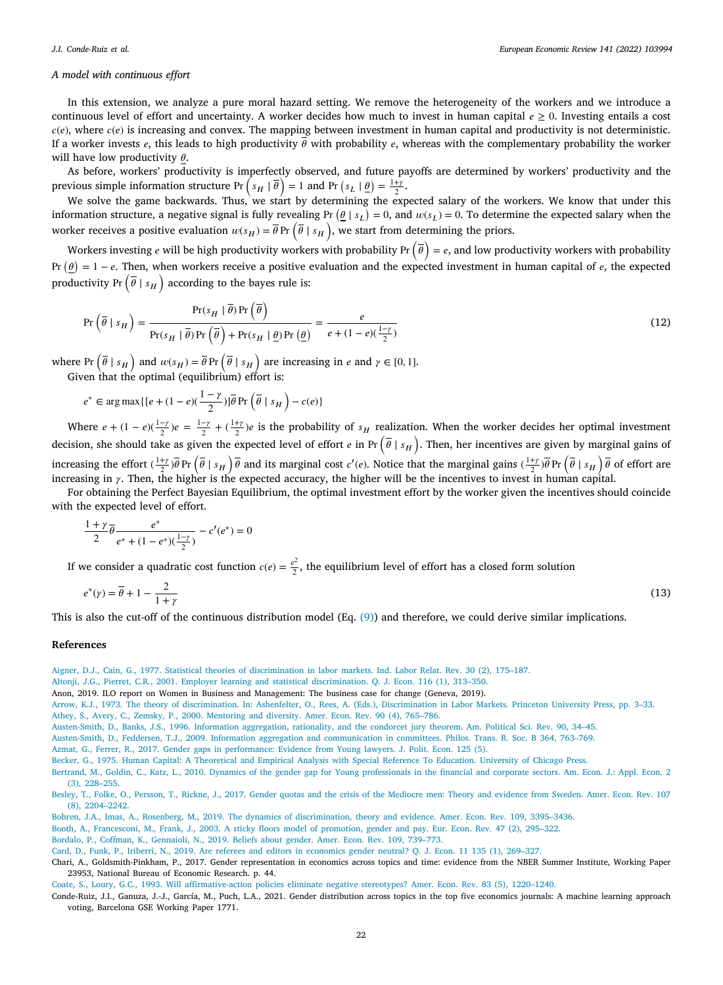#### *A model with continuous effort*

In this extension, we analyze a pure moral hazard setting. We remove the heterogeneity of the workers and we introduce a continuous level of effort and uncertainty. A worker decides how much to invest in human capital  $e \ge 0$ . Investing entails a cost  $c(e)$ , where  $c(e)$  is increasing and convex. The mapping between investment in human capital and productivity is not deterministic. If a worker invests  $e$ , this leads to high productivity  $\overline{\theta}$  with probability  $e$ , whereas with the complementary probability the worker will have low productivity  $\theta$ .

As before, workers' productivity is imperfectly observed, and future payoffs are determined by workers' productivity and the ) The better previous simple information structure Pr  $(s_H | \vec{\theta}) = 1$  and Pr  $(s_L | \vec{\theta}) = \frac{1 + y}{2}$ .

We solve the game backwards. Thus, we start by determining the expected salary of the workers. We know that under this information structure, a negative signal is fully revealing Pr  $(\theta | s_L) = 0$ , and  $w(s_L) = 0$ . To determine the expected salary when the worker receives a positive evaluation  $w(s_H) = \overline{\theta}$  Pr  $(\overline{\theta} \mid s_H)$ , we start from determining the priors.

Workers investing *e* will be high productivity workers with probability Pr  $(\bar{\theta}) = e$ , and low productivity workers with probability Pr  $(\theta) = 1 - e$ . Then, when workers receive a positive evaluation and the expected investment in human capital of e, the expected productivity Pr  $(\bar{\theta} | s_H)$  according to the bayes rule is:

$$
\Pr\left(\overline{\theta} \mid s_H\right) = \frac{\Pr(s_H \mid \overline{\theta}) \Pr\left(\overline{\theta}\right)}{\Pr(s_H \mid \overline{\theta}) \Pr\left(\overline{\theta}\right) + \Pr(s_H \mid \underline{\theta}) \Pr\left(\underline{\theta}\right)} = \frac{e}{e + (1 - e)\left(\frac{1 - \gamma}{2}\right)}\tag{12}
$$

where Pr  $(\bar{\theta} \mid s_H)$  and  $w(s_H) = \bar{\theta}$  Pr  $(\bar{\theta} \mid s_H)$  are increasing in  $e$  and  $\gamma \in [0, 1]$ .

Given that the optimal (equilibrium) effort is:

$$
e^* \in \arg\max \{[e + (1-e)(\frac{1-\gamma}{2})]\overline{\theta} \Pr\left(\overline{\theta} \mid s_H\right) - c(e)\}
$$

Where  $e + (1 - e)(\frac{1 - \gamma}{2})e = \frac{1 - \gamma}{2} + (\frac{1 + \gamma}{2})e$  is the probability of  $s_H$  realization. When the worker decides her optimal investment decision, she should take as given the expected level of effort  $e$  in Pr  $(\bar{\theta} \mid s_H)$ . Then, her incentives are given by marginal gains of increasing the effort  $(\frac{1+\gamma}{2})\overline{\theta}$  Pr  $(\overline{\theta} \mid s_H) \overline{\theta}$  and its marginal cost c'(e). Notice that the marginal gains  $(\frac{1+\gamma}{2})\overline{\theta}$  Pr  $(\overline{\theta} \mid s_H) \overline{\theta}$  of effort are increasing in  $\gamma$ . Then, the higher is the expected accuracy, the higher will be the incentives to invest in human capital.

For obtaining the Perfect Bayesian Equilibrium, the optimal investment effort by the worker given the incentives should coincide with the expected level of effort.

$$
\frac{1+\gamma}{2}\overline{\theta}\frac{e^*}{e^* + (1-e^*)(\frac{1-\gamma}{2})} - c'(e^*) = 0
$$

If we consider a quadratic cost function  $c(e) = \frac{e^2}{2}$  $\frac{2}{2}$ , the equilibrium level of effort has a closed form solution

$$
e^*(\gamma) = \overline{\theta} + 1 - \frac{2}{1+\gamma} \tag{13}
$$

This is also the cut-off of the continuous distribution model (Eq. ([9\)](#page-18-3)) and therefore, we could derive similar implications.

#### **References**

- <span id="page-21-6"></span>[Aigner, D.J., Cain, G., 1977. Statistical theories of discrimination in labor markets. Ind. Labor Relat. Rev. 30 \(2\), 175–187.](http://refhub.elsevier.com/S0014-2921(21)00270-1/sb1)
- <span id="page-21-11"></span>[Altonji, J.G., Pierret, C.R., 2001. Employer learning and statistical discrimination. Q. J. Econ. 116 \(1\), 313–350.](http://refhub.elsevier.com/S0014-2921(21)00270-1/sb2)
- <span id="page-21-16"></span>Anon, 2019. ILO report on Women in Business and Management: The business case for change (Geneva, 2019).
- <span id="page-21-8"></span><span id="page-21-0"></span>[Arrow, K.J., 1973. The theory of discrimination. In: Ashenfelter, O., Rees, A. \(Eds.\), Discrimination in Labor Markets. Princeton University Press, pp. 3–33.](http://refhub.elsevier.com/S0014-2921(21)00270-1/sb4) [Athey, S., Avery, C., Zemsky, P., 2000. Mentoring and diversity. Amer. Econ. Rev. 90 \(4\), 765–786.](http://refhub.elsevier.com/S0014-2921(21)00270-1/sb5)
- <span id="page-21-9"></span>[Austen-Smith, D., Banks, J.S., 1996. Information aggregation, rationality, and the condorcet jury theorem. Am. Political Sci. Rev. 90, 34–45.](http://refhub.elsevier.com/S0014-2921(21)00270-1/sb6)
- <span id="page-21-10"></span>[Austen-Smith, D., Feddersen, T.J., 2009. Information aggregation and communication in committees. Philos. Trans. R. Soc. B 364, 763–769.](http://refhub.elsevier.com/S0014-2921(21)00270-1/sb7)
- <span id="page-21-4"></span>[Azmat, G., Ferrer, R., 2017. Gender gaps in performance: Evidence from Young lawyers. J. Polit. Econ. 125 \(5\).](http://refhub.elsevier.com/S0014-2921(21)00270-1/sb8)
- <span id="page-21-15"></span>[Becker, G., 1975. Human Capital: A Theoretical and Empirical Analysis with Special Reference To Education. University of Chicago Press.](http://refhub.elsevier.com/S0014-2921(21)00270-1/sb9)
- <span id="page-21-5"></span>[Bertrand, M., Goldin, C., Katz, L., 2010. Dynamics of the gender gap for Young professionals in the financial and corporate sectors. Am. Econ. J.: Appl. Econ. 2](http://refhub.elsevier.com/S0014-2921(21)00270-1/sb10) [\(3\), 228–255.](http://refhub.elsevier.com/S0014-2921(21)00270-1/sb10)
- <span id="page-21-17"></span>[Besley, T., Folke, O., Persson, T., Rickne, J., 2017. Gender quotas and the crisis of the Mediocre men: Theory and evidence from Sweden. Amer. Econ. Rev. 107](http://refhub.elsevier.com/S0014-2921(21)00270-1/sb11) [\(8\), 2204–2242.](http://refhub.elsevier.com/S0014-2921(21)00270-1/sb11)
- <span id="page-21-2"></span>[Bohren, J.A., Imas, A., Rosenberg, M., 2019. The dynamics of discrimination, theory and evidence. Amer. Econ. Rev. 109, 3395–3436.](http://refhub.elsevier.com/S0014-2921(21)00270-1/sb12)
- <span id="page-21-3"></span>[Booth, A., Francesconi, M., Frank, J., 2003. A sticky floors model of promotion, gender and pay. Eur. Econ. Rev. 47 \(2\), 295–322.](http://refhub.elsevier.com/S0014-2921(21)00270-1/sb13)
- <span id="page-21-1"></span>[Bordalo, P., Coffman, K., Gennaioli, N., 2019. Beliefs about gender. Amer. Econ. Rev. 109, 739–773.](http://refhub.elsevier.com/S0014-2921(21)00270-1/sb14)
- <span id="page-21-13"></span>[Card, D., Funk, P., Iriberri, N., 2019. Are referees and editors in economics gender neutral? Q. J. Econ. 11 135 \(1\), 269–327.](http://refhub.elsevier.com/S0014-2921(21)00270-1/sb15)

<span id="page-21-14"></span>Chari, A., Goldsmith-Pinkham, P., 2017. Gender representation in economics across topics and time: evidence from the NBER Summer Institute, Working Paper 23953, National Bureau of Economic Research. p. 44.

<span id="page-21-7"></span>[Coate, S., Loury, G.C., 1993. Will affirmative-action policies eliminate negative stereotypes? Amer. Econ. Rev. 83 \(5\), 1220–1240.](http://refhub.elsevier.com/S0014-2921(21)00270-1/sb17)

<span id="page-21-12"></span>Conde-Ruiz, J.I., Ganuza, J.-J., García, M., Puch, L.A., 2021. Gender distribution across topics in the top five economics journals: A machine learning approach voting, Barcelona GSE Working Paper 1771.